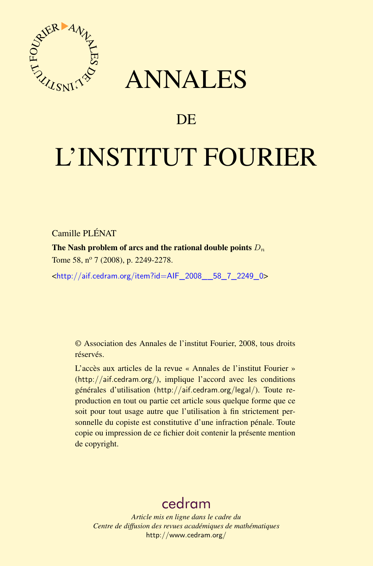

## ANNALES

### **DE**

# L'INSTITUT FOURIER

Camille PLÉNAT

The Nash problem of arcs and the rational double points  $D_n$ 

Tome 58, nº 7 (2008), p. 2249-2278.

<[http://aif.cedram.org/item?id=AIF\\_2008\\_\\_58\\_7\\_2249\\_0](http://aif.cedram.org/item?id=AIF_2008__58_7_2249_0)>

© Association des Annales de l'institut Fourier, 2008, tous droits réservés.

L'accès aux articles de la revue « Annales de l'institut Fourier » (<http://aif.cedram.org/>), implique l'accord avec les conditions générales d'utilisation (<http://aif.cedram.org/legal/>). Toute reproduction en tout ou partie cet article sous quelque forme que ce soit pour tout usage autre que l'utilisation à fin strictement personnelle du copiste est constitutive d'une infraction pénale. Toute copie ou impression de ce fichier doit contenir la présente mention de copyright.

## [cedram](http://www.cedram.org/)

*Article mis en ligne dans le cadre du Centre de diffusion des revues académiques de mathématiques* <http://www.cedram.org/>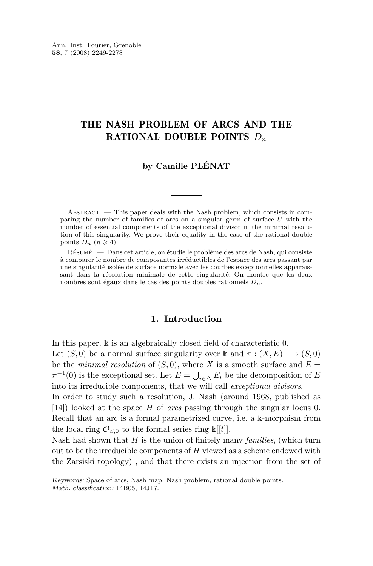#### THE NASH PROBLEM OF ARCS AND THE RATIONAL DOUBLE POINTS  $D_n$

#### **by Camille PLÉNAT**

ABSTRACT. — This paper deals with the Nash problem, which consists in comparing the number of families of arcs on a singular germ of surface U with the number of essential components of the exceptional divisor in the minimal resolution of this singularity. We prove their equality in the case of the rational double points  $D_n$   $(n \geq 4)$ .

Résumé. — Dans cet article, on étudie le problème des arcs de Nash, qui consiste à comparer le nombre de composantes irréductibles de l'espace des arcs passant par une singularité isolée de surface normale avec les courbes exceptionnelles apparaissant dans la résolution minimale de cette singularité. On montre que les deux nombres sont égaux dans le cas des points doubles rationnels  $D_n$ .

#### **1. Introduction**

In this paper,  $\Bbbk$  is an algebraically closed field of characteristic 0.

Let  $(S, 0)$  be a normal surface singularity over k and  $\pi : (X, E) \longrightarrow (S, 0)$ be the *minimal resolution* of  $(S, 0)$ , where X is a smooth surface and  $E =$  $\pi^{-1}(0)$  is the exceptional set. Let  $E = \bigcup_{i \in \Delta} E_i$  be the decomposition of E into its irreducible components, that we will call *exceptional divisors*.

In order to study such a resolution, J. Nash (around 1968, published as [\[14\]](#page-29-0)) looked at the space H of *arcs* passing through the singular locus 0. Recall that an arc is a formal parametrized curve, i.e. a k-morphism from the local ring  $\mathcal{O}_{S,0}$  to the formal series ring  $\kappa[[t]]$ .

Nash had shown that H is the union of finitely many *families*, (which turn out to be the irreducible components of  $H$  viewed as a scheme endowed with the Zarsiski topology) , and that there exists an injection from the set of

*Keywords:* Space of arcs, Nash map, Nash problem, rational double points. *Math. classification:* 14B05, 14J17.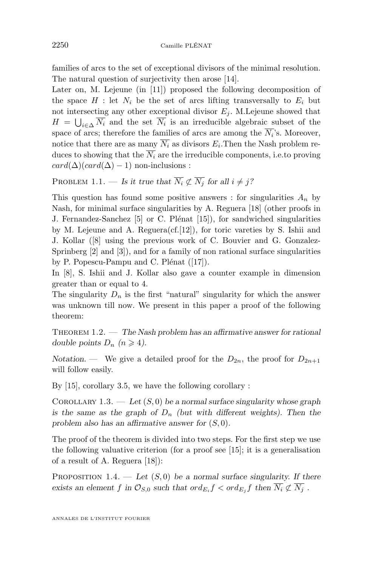<span id="page-2-0"></span>families of arcs to the set of exceptional divisors of the minimal resolution. The natural question of surjectivity then arose [\[14\]](#page-29-0).

Later on, M. Lejeune (in [\[11\]](#page-29-0)) proposed the following decomposition of the space  $H$ : let  $N_i$  be the set of arcs lifting transversally to  $E_i$  but not intersecting any other exceptional divisor  $E_i$ . M. Lejeune showed that  $H = \bigcup_{i \in \Delta} N_i$  and the set  $N_i$  is an irreducible algebraic subset of the space of arcs; therefore the families of arcs are among the  $N_i$ 's. Moreover, notice that there are as many  $N_i$  as divisors  $E_i$ . Then the Nash problem reduces to showing that the  $\overline{N_i}$  are the irreducible components, i.e.to proving  $card(\Delta)(card(\Delta) - 1)$  non-inclusions :

PROBLEM 1.1. — *Is it true that*  $\overline{N_i} \not\subset \overline{N_j}$  *for all*  $i \neq j$ ?

This question has found some positive answers : for singularities  $A_n$  by Nash, for minimal surface singularities by A. Reguera [\[18\]](#page-29-0) (other proofs in J. Fernandez-Sanchez [\[5\]](#page-29-0) or C. Plénat [\[15\]](#page-29-0)), for sandwiched singularities by M. Lejeune and A. Reguera $(cf.[12])$  $(cf.[12])$  $(cf.[12])$ , for toric vareties by S. Ishii and J. Kollar ([\[8\]](#page-29-0) using the previous work of C. Bouvier and G. Gonzalez-Sprinberg [\[2\]](#page-29-0) and [\[3\]](#page-29-0)), and for a family of non rational surface singularities by P. Popescu-Pampu and C. Plénat ([\[17\]](#page-29-0)).

In [\[8\]](#page-29-0), S. Ishii and J. Kollar also gave a counter example in dimension greater than or equal to 4.

The singularity  $D_n$  is the first "natural" singularity for which the answer was unknown till now. We present in this paper a proof of the following theorem:

Theorem 1.2. — *The Nash problem has an affirmative answer for rational double points*  $D_n$   $(n \geq 4)$ .

*Notation.* — We give a detailed proof for the  $D_{2n}$ , the proof for  $D_{2n+1}$ will follow easily.

By [\[15\]](#page-29-0), corollary 3.5, we have the following corollary :

COROLLARY 1.3. — Let  $(S, 0)$  be a normal surface singularity whose graph is the same as the graph of  $D_n$  (but with different weights). Then the *problem also has an affirmative answer for* (S, 0)*.*

The proof of the theorem is divided into two steps. For the first step we use the following valuative criterion (for a proof see [\[15\]](#page-29-0); it is a generalisation of a result of A. Reguera [\[18\]](#page-29-0)):

PROPOSITION  $1.4.$  — Let  $(S, 0)$  be a normal surface singularity. If there exists an element f in  $\mathcal{O}_{S,0}$  such that  $ord_{E_i} f < ord_{E_j} f$  then  $N_i \not\subset N_j$ .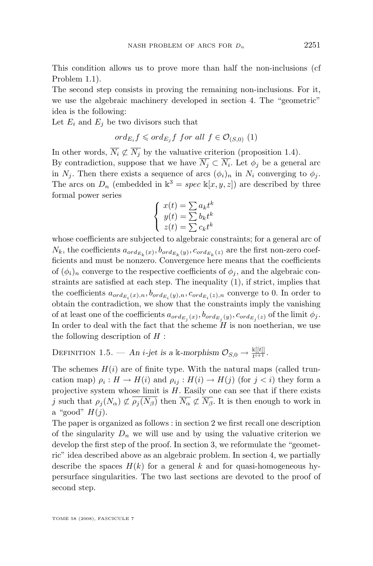This condition allows us to prove more than half the non-inclusions (cf Problem [1.1\)](#page-2-0).

The second step consists in proving the remaining non-inclusions. For it, we use the algebraic machinery developed in section 4. The "geometric" idea is the following:

Let  $E_i$  and  $E_j$  be two divisors such that

$$
ord_{E_i} f \leqslant ord_{E_j} f \ for \ all \ f \in \mathcal{O}_{(S,0)} \ (1)
$$

In other words,  $\overline{N_i} \not\subset \overline{N_j}$  by the valuative criterion (proposition [1.4\)](#page-2-0).

By contradiction, suppose that we have  $N_j \subset N_i$ . Let  $\phi_j$  be a general arc in  $N_i$ . Then there exists a sequence of arcs  $(\phi_i)_n$  in  $N_i$  converging to  $\phi_i$ . The arcs on  $D_n$  (embedded in  $\mathbb{k}^3 = spec \mathbb{k}[x, y, z]$ ) are described by three formal power series

$$
\begin{cases}\nx(t) = \sum a_k t^k \\
y(t) = \sum b_k t^k \\
z(t) = \sum c_k t^k\n\end{cases}
$$

whose coefficients are subjected to algebraic constraints; for a general arc of  $N_k$ , the coefficients  $a_{ord_{E_k}}(x), b_{ord_{E_k}}(y), c_{ord_{E_k}}(z)$  are the first non-zero coefficients and must be nonzero. Convergence here means that the coefficients of  $(\phi_i)_n$  converge to the respective coefficients of  $\phi_j$ , and the algebraic constraints are satisfied at each step. The inequality (1), if strict, implies that the coefficients  $a_{ord_{E_i}(x),n}, b_{ord_{E_i}(y),n}, c_{ord_{E_i}(z),n}$  converge to 0. In order to obtain the contradiction, we show that the constraints imply the vanishing of at least one of the coefficients  $a_{ord_{E_j}(x)}, b_{ord_{E_j}(y)}, c_{ord_{E_j}(z)}$  of the limit  $\phi_j$ . In order to deal with the fact that the scheme  $H$  is non noetherian, we use the following description of  $H$ :

DEFINITION 1.5. — An *i*-jet is a k-morphism  $\mathcal{O}_{S,0} \to \frac{k[[t]]}{t^{i+1}}$ .

The schemes  $H(i)$  are of finite type. With the natural maps (called truncation map)  $\rho_i: H \to H(i)$  and  $\rho_{ij}: H(i) \to H(j)$  (for  $j < i$ ) they form a projective system whose limit is  $H$ . Easily one can see that if there exists j such that  $\rho_i(N_\alpha) \not\subset \rho_i(N_\beta)$  then  $\overline{N_\alpha} \not\subset \overline{N_\beta}$ . It is then enough to work in a "good"  $H(j)$ .

The paper is organized as follows : in section 2 we first recall one description of the singularity  $D_n$  we will use and by using the valuative criterion we develop the first step of the proof. In section 3, we reformulate the "geometric" idea described above as an algebraic problem. In section 4, we partially describe the spaces  $H(k)$  for a general k and for quasi-homogeneous hypersurface singularities. The two last sections are devoted to the proof of second step.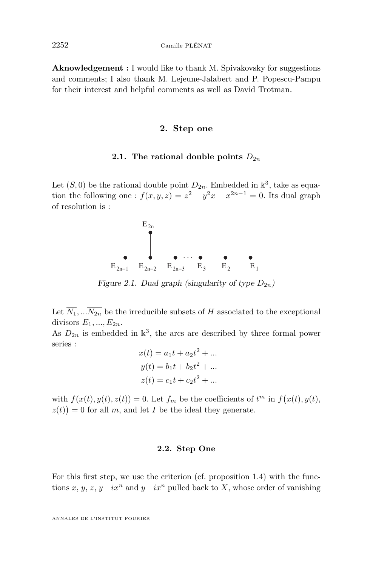**Aknowledgement :** I would like to thank M. Spivakovsky for suggestions and comments; I also thank M. Lejeune-Jalabert and P. Popescu-Pampu for their interest and helpful comments as well as David Trotman.

#### **2. Step one**

#### **2.1.** The rational double points  $D_{2n}$

Let  $(S, 0)$  be the rational double point  $D_{2n}$ . Embedded in  $\mathbb{R}^3$ , take as equation the following one :  $f(x, y, z) = z^2 - y^2x - x^{2n-1} = 0$ . Its dual graph of resolution is :



*Figure 2.1. Dual graph (singularity of type*  $D_{2n}$ )

Let  $\overline{N_1}, \ldots \overline{N_{2n}}$  be the irreducible subsets of H associated to the exceptional divisors  $E_1, ..., E_{2n}$ .

As  $D_{2n}$  is embedded in  $\mathbb{R}^3$ , the arcs are described by three formal power series :

$$
x(t) = a_1t + a_2t^2 + \dots
$$
  
\n
$$
y(t) = b_1t + b_2t^2 + \dots
$$
  
\n
$$
z(t) = c_1t + c_2t^2 + \dots
$$

with  $f(x(t), y(t), z(t)) = 0$ . Let  $f_m$  be the coefficients of  $t^m$  in  $f(x(t), y(t), z(t))$  $z(t)$  = 0 for all m, and let I be the ideal they generate.

#### **2.2. Step One**

For this first step, we use the criterion (cf. proposition [1.4\)](#page-2-0) with the functions x, y, z, y+ix<sup>n</sup> and y−ix<sup>n</sup> pulled back to X, whose order of vanishing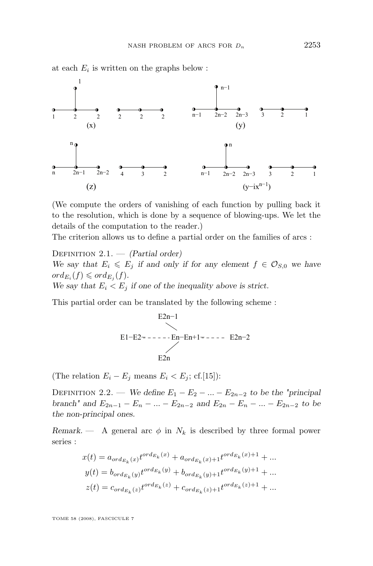at each  $E_i$  is written on the graphs below :



(We compute the orders of vanishing of each function by pulling back it to the resolution, which is done by a sequence of blowing-ups. We let the details of the computation to the reader.)

The criterion allows us to define a partial order on the families of arcs :

Definition 2.1. — *(Partial order) We say that*  $E_i \leq E_j$  *if and only if for any element*  $f \in \mathcal{O}_{S,0}$  *we have*  $ord_{E_i}(f) \leqslant ord_{E_j}(f)$ . We say that  $E_i < E_j$  *if one of the inequality above is strict.* 

This partial order can be translated by the following scheme :

$$
E2n-1
$$
\n
$$
E1-E2=----En-En+1=----E2n-2
$$
\n
$$
E2n
$$

(The relation  $E_i - E_j$  means  $E_i < E_j$ ; cf.[\[15\]](#page-29-0)):

DEFINITION 2.2. — *We define*  $E_1 - E_2 - ... - E_{2n-2}$  *to be the "principal branch*<sup>*''*</sup> and  $E_{2n-1} - E_n - ... - E_{2n-2}$  *and*  $E_{2n} - E_n - ... - E_{2n-2}$  *to be the non-principal ones.*

*Remark.* — A general arc  $\phi$  in  $N_k$  is described by three formal power series :

$$
x(t) = a_{ord_{E_k}}(x) t^{ord_{E_k}}(x) + a_{ord_{E_k}}(x) + t^{ord_{E_k}}(x) + 1 + \dots
$$
  
\n
$$
y(t) = b_{ord_{E_k}}(y) t^{ord_{E_k}}(y) + b_{ord_{E_k}}(y) + t^{ord_{E_k}}(y) + 1 + \dots
$$
  
\n
$$
z(t) = c_{ord_{E_k}}(z) t^{ord_{E_k}}(z) + c_{ord_{E_k}}(z) + t^{ord_{E_k}}(z) + 1 + \dots
$$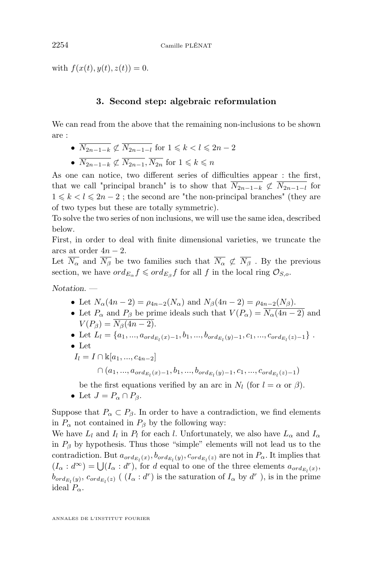with  $f(x(t), y(t), z(t)) = 0$ .

#### **3. Second step: algebraic reformulation**

We can read from the above that the remaining non-inclusions to be shown are :

- $\overline{N_{2n-1-k}} \not\subset \overline{N_{2n-1-1}}$  for  $1 \leq k < l \leq 2n-2$
- $\overline{N_{2n-1-k}} \not\subset \overline{N_{2n-1}}, \overline{N_{2n}}$  for  $1 \leq k \leq n$

As one can notice, two different series of difficulties appear : the first, that we call "principal branch" is to show that  $\overline{N_{2n-1-k}} \not\subset \overline{N_{2n-1-l}}$  for  $1 \leq k < l \leq 2n-2$ ; the second are "the non-principal branches" (they are of two types but these are totally symmetric).

To solve the two series of non inclusions, we will use the same idea, described below.

First, in order to deal with finite dimensional varieties, we truncate the arcs at order  $4n - 2$ .

Let  $\overline{N_{\alpha}}$  and  $\overline{N_{\beta}}$  be two families such that  $\overline{N_{\alpha}} \not\subset \overline{N_{\beta}}$ . By the previous section, we have  $ord_{E_{\alpha}} f \leqslant ord_{E_{\beta}} f$  for all f in the local ring  $\mathcal{O}_{S,o}$ .

*Notation. —*

- Let  $N_{\alpha}(4n-2) = \rho_{4n-2}(N_{\alpha})$  and  $N_{\beta}(4n-2) = \rho_{4n-2}(N_{\beta})$ .
- Let  $P_{\alpha}$  and  $P_{\beta}$  be prime ideals such that  $V(P_{\alpha}) = N_{\alpha}(4n-2)$  and  $V(P_{\beta}) = \overline{N_{\beta}(4n-2)}.$
- Let  $L_l = \{a_1, ..., a_{ord_{E_l}}(x)-1}, b_1, ..., b_{ord_{E_l}}(y)-1}, c_1, ..., c_{ord_{E_l}}(z)-1\}$ .
- Let
- $I_l = I \cap \mathbb{K}[a_1, ..., a_{4n-2}]$

$$
\cap \ (a_1,...,a_{ord_{E_l}(x)-1},b_1,...,b_{ord_{E_l}(y)-1},c_1,...,c_{ord_{E_l}(z)-1})
$$

be the first equations verified by an arc in  $N_l$  (for  $l = \alpha$  or  $\beta$ ).

• Let  $J = P_{\alpha} \cap P_{\beta}$ .

Suppose that  $P_{\alpha} \subset P_{\beta}$ . In order to have a contradiction, we find elements in  $P_{\alpha}$  not contained in  $P_{\beta}$  by the following way:

We have  $L_l$  and  $I_l$  in  $P_l$  for each l. Unfortunately, we also have  $L_\alpha$  and  $I_\alpha$ in  $P_\beta$  by hypothesis. Thus those "simple" elements will not lead us to the contradiction. But  $a_{ord_{E_l}(x)}, b_{ord_{E_l}(y)}, c_{ord_{E_l}(z)}$  are not in  $P_\alpha$ . It implies that  $(I_{\alpha}: d^{\infty}) = \bigcup (I_{\alpha}: d^r)$ , for d equal to one of the three elements  $a_{ord_{E_l}(x)}$ ,  $b_{ord_{E_l}}(y)$ ,  $c_{ord_{E_l}}(z)$  ( $(I_\alpha : d^r)$ ) is the saturation of  $I_\alpha$  by  $d^r$ ), is in the prime ideal  $P_{\alpha}$ .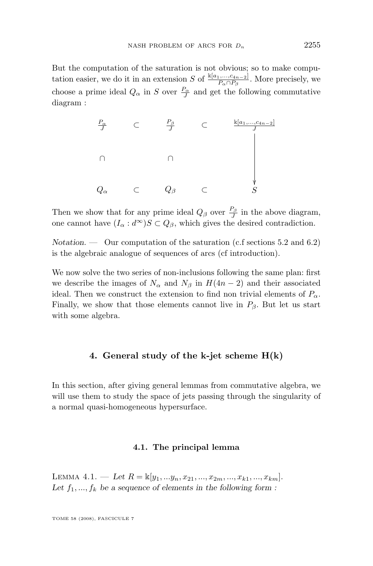But the computation of the saturation is not obvious; so to make computation easier, we do it in an extension S of  $\frac{\Bbbk[a_1,\ldots,a_{n-2}]}{P_\alpha \cap P_\beta}$ . More precisely, we choose a prime ideal  $Q_{\alpha}$  in S over  $\frac{P_{\alpha}}{J}$  and get the following commutative diagram :



Then we show that for any prime ideal  $Q_{\beta}$  over  $\frac{P_{\beta}}{J}$  in the above diagram, one cannot have  $(I_{\alpha}: d^{\infty})S \subset Q_{\beta}$ , which gives the desired contradiction.

*Notation.* — Our computation of the saturation (c.f sections 5.2 and 6.2) is the algebraic analogue of sequences of arcs (cf introduction).

We now solve the two series of non-inclusions following the same plan: first we describe the images of  $N_{\alpha}$  and  $N_{\beta}$  in  $H(4n-2)$  and their associated ideal. Then we construct the extension to find non trivial elements of  $P_{\alpha}$ . Finally, we show that those elements cannot live in  $P_\beta$ . But let us start with some algebra.

#### **4. General study of the k-jet scheme H(k)**

In this section, after giving general lemmas from commutative algebra, we will use them to study the space of jets passing through the singularity of a normal quasi-homogeneous hypersurface.

#### **4.1. The principal lemma**

LEMMA 4.1. — Let  $R = \mathbb{K}[y_1, \dots y_n, x_{21}, \dots, x_{2m}, \dots, x_{k1}, \dots, x_{km}]$ . Let  $f_1, ..., f_k$  be a sequence of elements in the following form :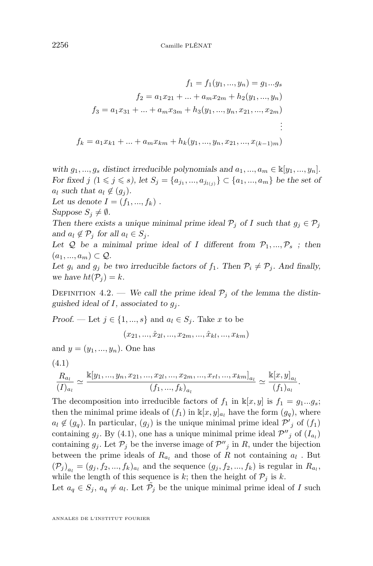<span id="page-8-0"></span>
$$
f_1 = f_1(y_1, ..., y_n) = g_1...g_s
$$
  
\n
$$
f_2 = a_1x_{21} + ... + a_mx_{2m} + h_2(y_1, ..., y_n)
$$
  
\n
$$
f_3 = a_1x_{31} + ... + a_mx_{3m} + h_3(y_1, ..., y_n, x_{21}, ..., x_{2m})
$$
  
\n
$$
\vdots
$$
  
\n
$$
f_k = a_1x_{k1} + ... + a_mx_{km} + h_k(y_1, ..., y_n, x_{21}, ..., x_{(k-1)m})
$$

*with*  $g_1, ..., g_s$  *distinct irreducible polynomials and*  $a_1, ..., a_m \in \mathbb{K}[y_1, ..., y_n]$ *. For fixed*  $j$   $(1 \leq j \leq s)$ , let  $S_j = \{a_{j_1}, ..., a_{j_{l(j)}}\} \subset \{a_1, ..., a_m\}$  be the set of  $a_l$  *such that*  $a_l \notin (g_i)$ *.* 

*Let us denote*  $I = (f_1, ..., f_k)$ .

*Suppose*  $S_i \neq \emptyset$ *.* 

*Then there exists a unique minimal prime ideal*  $P_i$  *of* I *such that*  $g_i \in P_j$ *and*  $a_l \notin \mathcal{P}_i$  *for all*  $a_l \in S_i$ *.* 

Let  $Q$  be a minimal prime ideal of I different from  $P_1, ..., P_s$ ; then  $(a_1, ..., a_m) \subset \mathcal{Q}$ .

Let  $g_i$  and  $g_j$  be two irreducible factors of  $f_1$ . Then  $\mathcal{P}_i \neq \mathcal{P}_j$ . And finally, we have  $ht(\mathcal{P}_i) = k$ .

DEFINITION 4.2. — We call the prime ideal  $P_i$  of the lemma the distinguished ideal of  $I$ , associated to  $g_i$ .

*Proof.* — Let  $j \in \{1, ..., s\}$  and  $a_i \in S_j$ . Take x to be

$$
(x_{21},..., \hat{x}_{2l},..., x_{2m},...,\hat{x}_{kl},..., x_{km})
$$

and  $y = (y_1, ..., y_n)$ . One has

$$
(4.1)
$$

$$
\frac{R_{a_l}}{(I)_{a_l}} \simeq \frac{\mathbb{k}[y_1, ..., y_n, x_{21}, ..., x_{2l}, ..., x_{2m}, ..., x_{rl}, ..., x_{km}]_{a_l}}{(f_1, ..., f_k)_{a_l}} \simeq \frac{\mathbb{k}[x, y]_{a_l}}{(f_1)_{a_l}}.
$$

The decomposition into irreducible factors of  $f_1$  in  $\mathbb{k}[x, y]$  is  $f_1 = g_1...g_s$ ; then the minimal prime ideals of  $(f_1)$  in  $\kappa[x, y]_{a_1}$  have the form  $(g_q)$ , where  $a_l \notin (g_q)$ . In particular,  $(g_j)$  is the unique minimal prime ideal  $\mathcal{P}'_j$  of  $(f_1)$ containing  $g_j$ . By (4.1), one has a unique minimal prime ideal  $\mathcal{P}''_j$  of  $(I_{a_l})$ containing  $g_j$ . Let  $\mathcal{P}_j$  be the inverse image of  $\mathcal{P}''_j$  in R, under the bijection between the prime ideals of  $R_{a_l}$  and those of R not containing  $a_l$ . But  $(\mathcal{P}_j)_{a_l} = (g_j, f_2, ..., f_k)_{a_l}$  and the sequence  $(g_j, f_2, ..., f_k)$  is regular in  $R_{a_l}$ , while the length of this sequence is k; then the height of  $P_j$  is k.

Let  $a_q \in S_j$ ,  $a_q \neq a_l$ . Let  $\tilde{P}_j$  be the unique minimal prime ideal of I such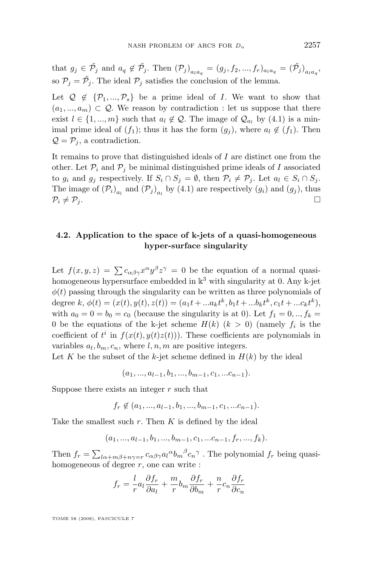that  $g_j \in \tilde{\mathcal{P}}_j$  and  $a_q \notin \tilde{\mathcal{P}}_j$ . Then  $(\mathcal{P}_j)_{a_l a_q} = (g_j, f_2, ..., f_r)_{a_l a_q} = (\tilde{\mathcal{P}}_j)_{a_l a_q}$ , so  $P_j = \tilde{P}_j$ . The ideal  $P_j$  satisfies the conclusion of the lemma.

Let  $\mathcal{Q} \notin \{ \mathcal{P}_1, ..., \mathcal{P}_s \}$  be a prime ideal of I. We want to show that  $(a_1, ..., a_m) \subset \mathcal{Q}$ . We reason by contradiction : let us suppose that there exist  $l \in \{1, ..., m\}$  such that  $a_l \notin \mathcal{Q}$ . The image of  $\mathcal{Q}_{a_l}$  by [\(4.1\)](#page-8-0) is a minimal prime ideal of  $(f_1)$ ; thus it has the form  $(g_i)$ , where  $a_i \notin (f_1)$ . Then  $\mathcal{Q} = \mathcal{P}_j$ , a contradiction.

It remains to prove that distinguished ideals of I are distinct one from the other. Let  $\mathcal{P}_i$  and  $\mathcal{P}_j$  be minimal distinguished prime ideals of I associated to  $g_i$  and  $g_j$  respectively. If  $S_i \cap S_j = \emptyset$ , then  $\mathcal{P}_i \neq \mathcal{P}_j$ . Let  $a_l \in S_i \cap S_j$ . The image of  $(\mathcal{P}_i)_{a_l}$  and  $(\mathcal{P}_j)_{a_l}$  by [\(4.1\)](#page-8-0) are respectively  $(g_i)$  and  $(g_j)$ , thus  $\mathcal{P}_i \neq \mathcal{P}_j$ .

#### **4.2. Application to the space of k-jets of a quasi-homogeneous hyper-surface singularity**

Let  $f(x, y, z) = \sum c_{\alpha\beta\gamma} x^{\alpha} y^{\beta} z^{\gamma} = 0$  be the equation of a normal quasihomogeneous hypersurface embedded in  $k^3$  with singularity at 0. Any k-jet  $\phi(t)$  passing through the singularity can be written as three polynomials of degree  $k, \phi(t) = (x(t), y(t), z(t)) = (a_1t + ... a_kt^k, b_1t + ... b_kt^k, c_1t + ... c_kt^k),$ with  $a_0 = 0 = b_0 = c_0$  (because the singularity is at 0). Let  $f_1 = 0, ..., f_k =$ 0 be the equations of the k-jet scheme  $H(k)$   $(k > 0)$  (namely  $f_i$  is the coefficient of  $t^i$  in  $f(x(t), y(t)z(t))$ . These coefficients are polynomials in variables  $a_l, b_m, c_n$ , where  $l, n, m$  are positive integers.

Let K be the subset of the k-jet scheme defined in  $H(k)$  by the ideal

$$
(a_1, ..., a_{l-1}, b_1, ..., b_{m-1}, c_1, ... c_{n-1}).
$$

Suppose there exists an integer  $r$  such that

$$
f_r \notin (a_1, ..., a_{l-1}, b_1, ..., b_{m-1}, c_1, ... c_{n-1}).
$$

Take the smallest such  $r$ . Then  $K$  is defined by the ideal

$$
(a_1, ..., a_{l-1}, b_1, ..., b_{m-1}, c_1, ... c_{n-1}, f_r, ..., f_k).
$$

Then  $f_r = \sum_{l\alpha+m\beta+n\gamma=r} c_{\alpha\beta\gamma} a_l^{\alpha} b_m^{\beta} c_n^{\gamma}$ . The polynomial  $f_r$  being quasihomogeneous of degree  $r$ , one can write :

$$
f_r = \frac{l}{r} a_l \frac{\partial f_r}{\partial a_l} + \frac{m}{r} b_m \frac{\partial f_r}{\partial b_m} + \frac{n}{r} c_n \frac{\partial f_r}{\partial c_n}
$$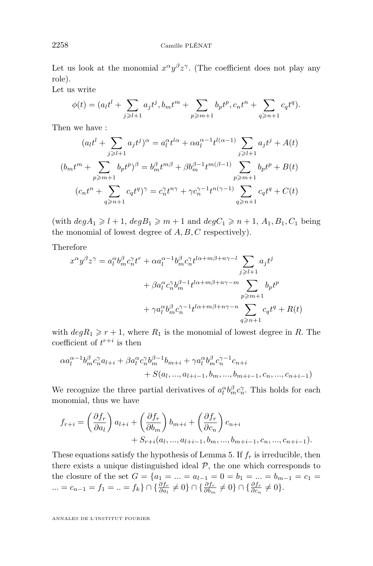Let us look at the monomial  $x^{\alpha}y^{\beta}z^{\gamma}$ . (The coefficient does not play any role).

Let us write

$$
\phi(t) = (a_l t^l + \sum_{j \ge l+1} a_j t^j, b_m t^m + \sum_{p \ge m+1} b_p t^p, c_n t^n + \sum_{q \ge n+1} c_q t^q).
$$

Then we have :

$$
(a_l t^l + \sum_{j \ge l+1} a_j t^j)^\alpha = a_l^\alpha t^{l\alpha} + \alpha a_l^{\alpha-1} t^{l(\alpha-1)} \sum_{j \ge l+1} a_j t^j + A(t)
$$
  

$$
(b_m t^m + \sum_{p \ge m+1} b_p t^p)^\beta = b_m^\beta t^{m\beta} + \beta b_m^{\beta-1} t^{m(\beta-1)} \sum_{p \ge m+1} b_p t^p + B(t)
$$
  

$$
(c_n t^n + \sum_{q \ge n+1} c_q t^q)^\gamma = c_n^\gamma t^{n\gamma} + \gamma c_n^{\gamma-1} t^{n(\gamma-1)} \sum_{q \ge n+1} c_q t^q + C(t)
$$

(with  $deg A_1 \geq l+1$ ,  $deg B_1 \geq m+1$  and  $deg C_1 \geq n+1$ ,  $A_1, B_1, C_1$  being the monomial of lowest degree of  $A, B, C$  respectively).

Therefore

$$
x^{\alpha}y^{\beta}z^{\gamma} = a_l^{\alpha}b_m^{\beta}c_n^{\gamma}t^r + \alpha a_l^{\alpha-1}b_m^{\beta}c_n^{\gamma}t^{l\alpha+m\beta+n\gamma-l} \sum_{j \ge l+1} a_j t^j
$$
  
+  $\beta a_l^{\alpha}c_n^{\gamma}b_m^{\beta-1}t^{l\alpha+m\beta+n\gamma-m} \sum_{p \ge m+1} b_p t^p$   
+  $\gamma a_l^{\alpha}b_m^{\beta}c_n^{\gamma-1}t^{l\alpha+m\beta+n\gamma-n} \sum_{q \ge n+1} c_q t^q + R(t)$ 

with  $deg R_1 \geq r + 1$ , where  $R_1$  is the monomial of lowest degree in R. The coefficient of  $t^{r+i}$  is then

$$
\alpha a_l^{\alpha-1} b_m^{\beta} c_n^{\gamma} a_{l+i} + \beta a_l^{\alpha} c_n^{\gamma} b_m^{\beta-1} b_{m+i} + \gamma a_l^{\alpha} b_m^{\beta} c_n^{\gamma-1} c_{n+i} + S(a_l, ..., a_{l+i-1}, b_m, ..., b_{m+i-1}, c_n, ..., c_{n+i-1})
$$

We recognize the three partial derivatives of  $a_l^{\alpha}b_m^{\beta}c_n^{\gamma}$ . This holds for each monomial, thus we have

$$
f_{r+i} = \left(\frac{\partial f_r}{\partial a_l}\right) a_{l+i} + \left(\frac{\partial f_r}{\partial b_m}\right) b_{m+i} + \left(\frac{\partial f_r}{\partial c_n}\right) c_{n+i} + S_{r+i}(a_l, ..., a_{l+i-1}, b_m, ..., b_{m+i-1}, c_n, ..., c_{n+i-1}).
$$

These equations satisfy the hypothesis of Lemma 5. If  $f<sub>r</sub>$  is irreducible, then there exists a unique distinguished ideal  $P$ , the one which corresponds to the closure of the set  $G = \{a_1 = ... = a_{l-1} = 0 = b_1 = ... = b_{m-1} = c_1 =$ ... =  $c_{n-1} = f_1 = ... = f_k$   $\cap \{ \frac{\partial f_r}{\partial a_l} \neq 0 \}$   $\cap \{ \frac{\partial f_r}{\partial b_m} \neq 0 \}$   $\cap \{ \frac{\partial f_r}{\partial c_n} \neq 0 \}$ .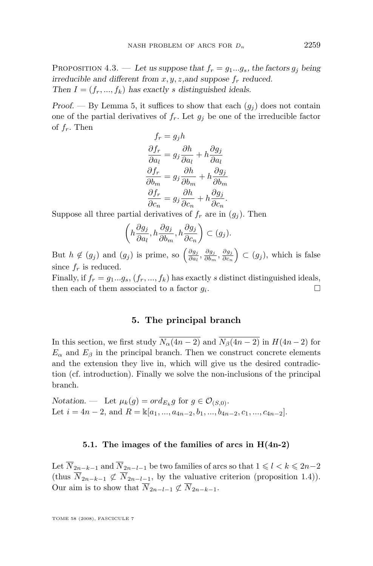PROPOSITION 4.3. — Let us suppose that  $f_r = g_1...g_s$ , the factors  $g_j$  being *irreducible and different from x, y, z, and suppose*  $f_r$  *reduced. Then*  $I = (f_r, ..., f_k)$  *has exactly s distinguished ideals.* 

*Proof.* — By Lemma 5, it suffices to show that each  $(g_i)$  does not contain one of the partial derivatives of  $f_r$ . Let  $g_i$  be one of the irreducible factor of  $f_r$ . Then

$$
f_r = g_j h
$$
  
\n
$$
\frac{\partial f_r}{\partial a_l} = g_j \frac{\partial h}{\partial a_l} + h \frac{\partial g_j}{\partial a_l}
$$
  
\n
$$
\frac{\partial f_r}{\partial b_m} = g_j \frac{\partial h}{\partial b_m} + h \frac{\partial g_j}{\partial b_m}
$$
  
\n
$$
\frac{\partial f_r}{\partial c_n} = g_j \frac{\partial h}{\partial c_n} + h \frac{\partial g_j}{\partial c_n}.
$$

Suppose all three partial derivatives of  $f_r$  are in  $(g_j)$ . Then

$$
\left(h\frac{\partial g_j}{\partial a_l}, h\frac{\partial g_j}{\partial b_m}, h\frac{\partial g_j}{\partial c_n}\right) \subset (g_j).
$$

But  $h \notin (g_j)$  and  $(g_j)$  is prime, so  $\left(\frac{\partial g_j}{\partial a_j}\right)$  $\frac{\partial g_j}{\partial a_l}, \frac{\partial g_j}{\partial b_m}$  $\frac{\partial g_j}{\partial b_m}, \frac{\partial g_j}{\partial c_n}$  $\left(\frac{\partial g_j}{\partial c_n}\right) \subset (g_j)$ , which is false since  $f_r$  is reduced.

Finally, if  $f_r = g_1...g_s$ ,  $(f_r, ..., f_k)$  has exactly s distinct distinguished ideals, then each of them associated to a factor  $q_i$ . . В последните последните и производите на селото на селото на селото на селото на селото на селото на селото<br>В селото на селото на селото на селото на селото на селото на селото на селото на селото на селото на селото н

#### **5. The principal branch**

In this section, we first study  $\overline{N_{\alpha}(4n-2)}$  and  $\overline{N_{\beta}(4n-2)}$  in  $H(4n-2)$  for  $E_{\alpha}$  and  $E_{\beta}$  in the principal branch. Then we construct concrete elements and the extension they live in, which will give us the desired contradiction (cf. introduction). Finally we solve the non-inclusions of the principal branch.

*Notation.* — Let  $\mu_k(g) = ord_{E_k} g$  for  $g \in \mathcal{O}_{(S,0)}$ . Let  $i = 4n - 2$ , and  $R = \mathbb{k}[a_1, ..., a_{4n-2}, b_1, ..., b_{4n-2}, c_1, ..., c_{4n-2}].$ 

#### **5.1. The images of the families of arcs in H(4n-2)**

Let  $\overline{N}_{2n-k-1}$  and  $\overline{N}_{2n-l-1}$  be two families of arcs so that  $1\leqslant l < k \leqslant 2n-2$ (thus  $\overline{N}_{2n-k-1} \not\subset \overline{N}_{2n-l-1}$ , by the valuative criterion (proposition [1.4\)](#page-2-0)). Our aim is to show that  $\overline{N}_{2n-l-1} \not\subset \overline{N}_{2n-k-1}$ .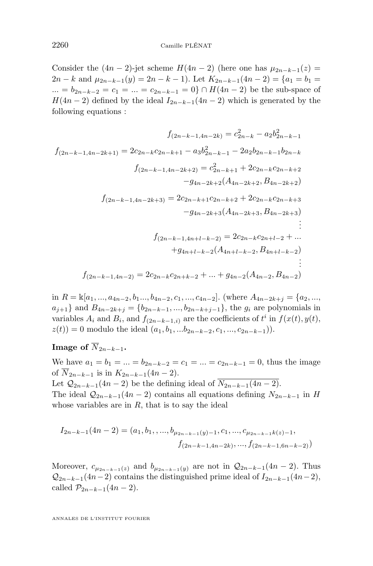Consider the  $(4n-2)$ -jet scheme  $H(4n-2)$  (here one has  $\mu_{2n-k-1}(z)$ )  $2n - k$  and  $\mu_{2n-k-1}(y) = 2n - k - 1$ . Let  $K_{2n-k-1}(4n-2) = \{a_1 = b_1 = 1\}$ ... =  $b_{2n-k-2} = c_1 = ... = c_{2n-k-1} = 0$  ∩  $H(4n-2)$  be the sub-space of  $H(4n-2)$  defined by the ideal  $I_{2n-k-1}(4n-2)$  which is generated by the following equations :

$$
f_{(2n-k-1,4n-2k)} = c_{2n-k}^2 - a_2b_{2n-k-1}^2
$$

$$
f_{(2n-k-1,4n-2k+1)} = 2c_{2n-k}c_{2n-k+1} - a_3b_{2n-k-1}^2 - 2a_2b_{2n-k-1}b_{2n-k}
$$

$$
f_{(2n-k-1,4n-2k+2)} = c_{2n-k+1}^2 + 2c_{2n-k}c_{2n-k+2}
$$

$$
-g_{4n-2k+2}(A_{4n-2k+2},B_{4n-2k+2})
$$

$$
f_{(2n-k-1,4n-2k+3)} = 2c_{2n-k+1}c_{2n-k+2} + 2c_{2n-k}c_{2n-k+3}
$$

$$
-g_{4n-2k+3}(A_{4n-2k+3},B_{4n-2k+3})
$$

$$
\vdots
$$

$$
f_{(2n-k-1,4n+l-k-2)} = 2c_{2n-k}c_{2n+l-2} + ...
$$

$$
+g_{4n+l-k-2}(A_{4n+l-k-2},B_{4n+l-k-2})
$$

$$
\vdots
$$

$$
f_{(2n-k-1,4n-2)} = 2c_{2n-k}c_{2n+k-2} + ... + g_{4n-2}(A_{4n-2},B_{4n-2})
$$

in  $R = \mathbb{K}[a_1, ..., a_{4n-2}, b_1, ..., b_{4n-2}, c_1, ..., c_{4n-2}]$ . (where  $A_{4n-2k+j} = \{a_2, ..., a_{4n-2}, b_1, ..., b_{4n-2}, c_1, ..., c_{4n-2}\}$ .)  $a_{j+1}$ } and  $B_{4n-2k+j} = \{b_{2n-k-1},...,b_{2n-k+j-1}\}$ , the  $g_i$  are polynomials in variables  $A_i$  and  $B_i$ , and  $f_{(2n-k-1,i)}$  are the coefficients of  $t^i$  in  $f(x(t), y(t))$ ,  $z(t)$  = 0 modulo the ideal  $(a_1, b_1, ... b_{2n-k-2}, c_1, ..., c_{2n-k-1})$ .

**Image of**  $\overline{N}_{2n-k-1}$ .

We have  $a_1 = b_1 = ... = b_{2n-k-2} = c_1 = ... = c_{2n-k-1} = 0$ , thus the image of  $\overline{N}_{2n-k-1}$  is in  $K_{2n-k-1}(4n-2)$ .

Let  $Q_{2n-k-1}(4n-2)$  be the defining ideal of  $\overline{N_{2n-k-1}(4n-2)}$ . The ideal  $Q_{2n-k-1}(4n-2)$  contains all equations defining  $N_{2n-k-1}$  in H whose variables are in  $R$ , that is to say the ideal

$$
I_{2n-k-1}(4n-2) = (a_1, b_1, \ldots, b_{\mu_{2n-k-1}(y)-1}, c_1, \ldots, c_{\mu_{2n-k-1}k(z)-1},
$$

$$
f_{(2n-k-1, 4n-2k)}, \ldots, f_{(2n-k-1, 6n-k-2)})
$$

Moreover,  $c_{\mu_{2n-k-1}(z)}$  and  $b_{\mu_{2n-k-1}(y)}$  are not in  $\mathcal{Q}_{2n-k-1}(4n-2)$ . Thus  $Q_{2n-k-1}(4n-2)$  contains the distinguished prime ideal of  $I_{2n-k-1}(4n-2)$ , called  $\mathcal{P}_{2n-k-1}(4n-2)$ .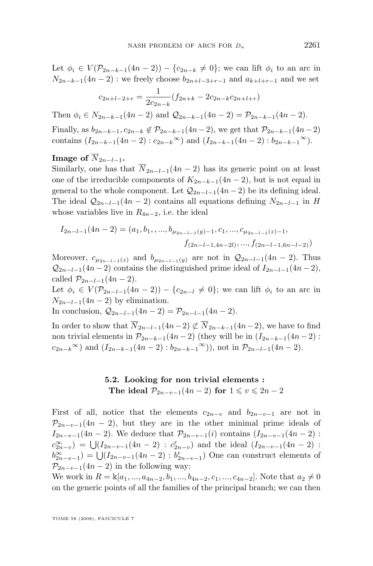Let  $\phi_i \in V(\mathcal{P}_{2n-k-1}(4n-2)) - \{c_{2n-k} \neq 0\}$ ; we can lift  $\phi_i$  to an arc in  $N_{2n-k-1}(4n-2)$ : we freely choose  $b_{2n+l-3+r-1}$  and  $a_{k+l+r-1}$  and we set

$$
c_{2n+l-2+r} = \frac{1}{2c_{2n-k}} (f_{2n+k} - 2c_{2n-k}c_{2n+l+r})
$$

Then  $\phi_i \in N_{2n-k-1}(4n-2)$  and  $\mathcal{Q}_{2n-k-1}(4n-2) = \mathcal{P}_{2n-k-1}(4n-2)$ .

Finally, as  $b_{2n-k-1}, c_{2n-k} \notin \mathcal{P}_{2n-k-1}(4n-2)$ , we get that  $\mathcal{P}_{2n-k-1}(4n-2)$ contains  $(I_{2n-k-1}(4n-2): c_{2n-k}^{\infty})$  and  $(I_{2n-k-1}(4n-2): b_{2n-k-1}^{\infty})$ .

#### **Image** of  $\overline{N}_{2n-l-1}$ .

Similarly, one has that  $\overline{N}_{2n-l-1}(4n-2)$  has its generic point on at least one of the irreducible components of  $K_{2n-k-1}(4n-2)$ , but is not equal in general to the whole component. Let  $\mathcal{Q}_{2n-l-1}(4n-2)$  be its defining ideal. The ideal  $Q_{2n-l-1}(4n-2)$  contains all equations defining  $N_{2n-l-1}$  in H whose variables live in  $R_{4n-2}$ , i.e. the ideal

$$
I_{2n-l-1}(4n-2) = (a_1, b_1, \dots, b_{\mu_{2n-l-1}(y)-1}, c_1, \dots, c_{\mu_{2n-l-1}(z)-1},
$$
  

$$
f_{(2n-l-1,4n-2l)}, \dots, f_{(2n-l-1,6n-l-2)})
$$

Moreover,  $c_{\mu_{2n-l-1}(z)}$  and  $b_{\mu_{2n-l-1}(y)}$  are not in  $\mathcal{Q}_{2n-l-1}(4n-2)$ . Thus  $Q_{2n-l-1}(4n-2)$  contains the distinguished prime ideal of  $I_{2n-l-1}(4n-2)$ , called  $\mathcal{P}_{2n-l-1}(4n-2)$ .

Let  $\phi_i \in V(\mathcal{P}_{2n-l-1}(4n-2)) - \{c_{2n-l} \neq 0\}$ ; we can lift  $\phi_i$  to an arc in  $N_{2n-l-1}(4n-2)$  by elimination.

In conclusion,  $Q_{2n-l-1}(4n-2) = \mathcal{P}_{2n-l-1}(4n-2)$ .

In order to show that  $\overline{N}_{2n-l-1}(4n-2) \not\subset \overline{N}_{2n-k-1}(4n-2)$ , we have to find non trivial elements in  $\mathcal{P}_{2n-k-1}(4n-2)$  (they will be in  $(I_{2n-k-1}(4n-2)$ ):  $c_{2n-k}^{\infty}$  and  $(I_{2n-k-1}(4n-2) : b_{2n-k-1}^{\infty})$ , not in  $\mathcal{P}_{2n-l-1}(4n-2)$ .

#### **5.2. Looking for non trivial elements : The ideal**  $\mathcal{P}_{2n-v-1}(4n-2)$  **for**  $1 \le v \le 2n-2$

First of all, notice that the elements  $c_{2n-v}$  and  $b_{2n-v-1}$  are not in  $\mathcal{P}_{2n-v-1}(4n-2)$ , but they are in the other minimal prime ideals of  $I_{2n-v-1}(4n-2)$ . We deduce that  $\mathcal{P}_{2n-v-1}(i)$  contains  $(I_{2n-v-1}(4n-2)$ :  $c_{2n-v}^{\infty}$  =  $\bigcup (I_{2n-v-1}(4n-2) : c_{2n-v}^r)$  and the ideal  $(I_{2n-v-1}(4n-2)$ :  $b_{2n-v-1}^{\infty}$  =  $\bigcup (I_{2n-v-1}(4n-2) : b_{2n-v-1}^r)$  One can construct elements of  $\mathcal{P}_{2n-v-1}(4n-2)$  in the following way:

We work in  $R = \mathbb{k}[a_1, ..., a_{4n-2}, b_1, ..., b_{4n-2}, c_1, ..., c_{4n-2}]$ . Note that  $a_2 \neq 0$ on the generic points of all the families of the principal branch; we can then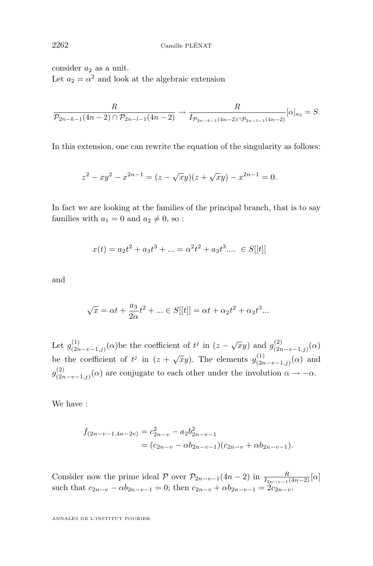consider  $a_2$  as a unit. Let  $a_2 = \alpha^2$  and look at the algebraic extension

$$
\frac{R}{\mathcal{P}_{2n-k-1}(4n-2)\cap \mathcal{P}_{2n-l-1}(4n-2)} \to \frac{R}{I_{\mathcal{P}_{2n-k-1}(4n-2)\cap \mathcal{P}_{2n-l-1}(4n-2)}} [\alpha]_{a_2} = S.
$$

In this extension, one can rewrite the equation of the singularity as follows:

$$
z^{2} - xy^{2} - x^{2n-1} = (z - \sqrt{xy})(z + \sqrt{xy}) - x^{2n-1} = 0.
$$

In fact we are looking at the families of the principal branch, that is to say families with  $a_1 = 0$  and  $a_2 \neq 0$ , so :

$$
x(t) = a_2t^2 + a_3t^3 + \dots = \alpha^2t^2 + a_3t^3 \dots \in S[[t]]
$$

and

$$
\sqrt{x} = \alpha t + \frac{a_3}{2\alpha}t^2 + \dots \in S[[t]] = \alpha t + \alpha_2 t^2 + \alpha_3 t^3 \dots
$$

Let  $g_{(2r)}^{(1)}$ (1)<br>  $(z_2-x-1,j)}(α)$ be the coefficient of  $t^j$  in  $(z - \sqrt{xy})$  and  $g_{(2\pi)}^{(2)}$  $\binom{(2)}{(2n-v-1,j)}(\alpha)$ be the coefficient of  $t^j$  in  $(z + \sqrt{xy})$ . The elements  $g_{(2)}^{(1)}$  $\binom{(1)}{(2n-v-1,j)}(\alpha)$  and  $g^{(2)}_{(2n)}$  $\sum_{(2n-v-1,j)}^{(2)}(\alpha)$  are conjugate to each other under the involution  $\alpha \to -\alpha$ .

We have :

$$
f_{(2n-v-1,4n-2v)} = c_{2n-v}^2 - a_2 b_{2n-v-1}^2
$$
  
=  $(c_{2n-v} - \alpha b_{2n-v-1})(c_{2n-v} + \alpha b_{2n-v-1}).$ 

Consider now the prime ideal  $P$  over  $P_{2n-v-1}(4n-2)$  in  $\frac{R}{I_{2n-v-1}(4n-2)}[\alpha]$ such that  $c_{2n-v} - \alpha b_{2n-v-1} = 0$ ; then  $c_{2n-v} + \alpha b_{2n-v-1} = 2c_{2n-v}$ .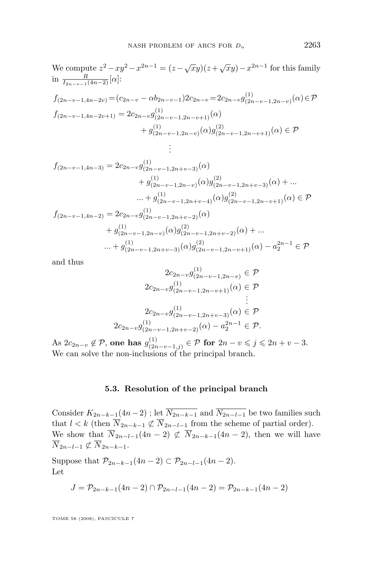We compute 
$$
z^2 - xy^2 - x^{2n-1} = (z - \sqrt{xy})(z + \sqrt{xy}) - x^{2n-1}
$$
 for this family  
\nin  $\frac{R}{I_{2n-v-1}(4n-2)}[\alpha]$ :  
\n $f_{(2n-v-1,4n-2v)} = (c_{2n-v} - \alpha b_{2n-v-1})2c_{2n-v} = 2c_{2n-v}g_{(2n-v-1,2n-v)}^{(1)}(\alpha) \in \mathcal{P}$   
\n $f_{(2n-v-1,4n-2v+1)} = 2c_{2n-v}g_{(2n-v-1,2n-v+1)}^{(1)}(\alpha)$   
\n $+ g_{(2n-v-1,2n-v)}^{(1)}(\alpha)g_{(2n-v-1,2n-v+1)}^{(2)}(\alpha) \in \mathcal{P}$   
\n $\vdots$ 

$$
f_{(2n-v-1,4n-3)} = 2c_{2n-v}g_{(2n-v-1,2n+v-3)}^{(1)}(\alpha)
$$
  
\n
$$
+ g_{(2n-v-1,2n-v)}^{(1)}(\alpha)g_{(2n-v-1,2n+v-3)}^{(2)}(\alpha) + \dots
$$
  
\n
$$
\dots + g_{(2n-v-1,2n+v-4)}^{(1)}(\alpha)g_{(2n-v-1,2n-v+1)}^{(2)}(\alpha) \in \mathcal{P}
$$
  
\n
$$
f_{(2n-v-1,4n-2)} = 2c_{2n-v}g_{(2n-v-1,2n+v-2)}^{(1)}(\alpha)
$$
  
\n
$$
+ g_{(2n-v-1,2n-v)}^{(1)}(\alpha)g_{(2n-v-1,2n+v-2)}^{(2)}(\alpha) + \dots
$$
  
\n
$$
\dots + g_{(2n-v-1,2n+v-3)}^{(1)}(\alpha)g_{(2n-v-1,2n-v+1)}^{(2)}(\alpha) - a_2^{2n-1} \in \mathcal{P}
$$

and thus

$$
2c_{2n-v}g_{(2n-v-1,2n-v)}^{(1)} \in \mathcal{P}
$$
  
\n
$$
2c_{2n-v}g_{(2n-v-1,2n-v+1)}^{(1)}(\alpha) \in \mathcal{P}
$$
  
\n
$$
\vdots
$$
  
\n
$$
2c_{2n-v}g_{(2n-v-1,2n+v-3)}^{(1)}(\alpha) \in \mathcal{P}
$$
  
\n
$$
2c_{2n-v}g_{(2n-v-1,2n+v-2)}^{(1)}(\alpha) - a_2^{2n-1} \in \mathcal{P}.
$$

As  $2c_{2n-v}\not\in\mathcal{P},$  one has  $g_{(2n)}^{(1)}$  $\sum_{(2n-v-1,j)}^{(1)}$  ∈ P for  $2n-v \leqslant j \leqslant 2n+v-3$ . We can solve the non-inclusions of the principal branch.

#### **5.3. Resolution of the principal branch**

Consider  $K_{2n-k-1}(4n-2)$ ; let  $\overline{N_{2n-k-1}}$  and  $\overline{N_{2n-l-1}}$  be two families such that  $l < k$  (then  $\overline{N}_{2n-k-1} \not\subset \overline{N}_{2n-l-1}$  from the scheme of partial order). We show that  $\overline{N}_{2n-l-1}(4n-2) \not\subset \overline{N}_{2n-k-1}(4n-2)$ , then we will have  $\overline{N}_{2n-l-1} \not\subset \overline{N}_{2n-k-1}.$ 

Suppose that  $\mathcal{P}_{2n-k-1}(4n-2) \subset \mathcal{P}_{2n-l-1}(4n-2)$ . Let

$$
J = \mathcal{P}_{2n-k-1}(4n-2) \cap \mathcal{P}_{2n-l-1}(4n-2) = \mathcal{P}_{2n-k-1}(4n-2)
$$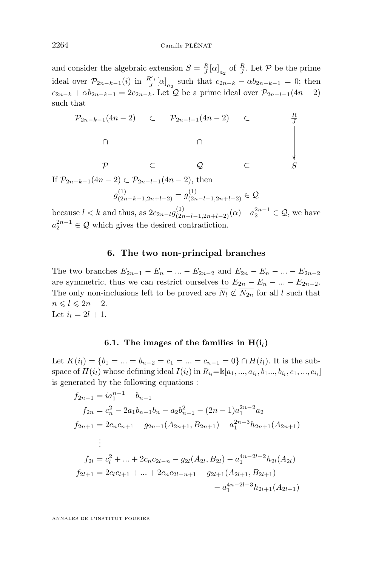and consider the algebraic extension  $S = \frac{R}{J} [\alpha]_{a_2}$  of  $\frac{R}{J}$ . Let  $P$  be the prime ideal over  $\mathcal{P}_{2n-k-1}(i)$  in  $\frac{R'}{J}[\alpha]_{a_2}$  such that  $c_{2n-k} - \alpha b_{2n-k-1} = 0$ ; then  $c_{2n-k} + \alpha b_{2n-k-1} = 2c_{2n-k}$ . Let Q be a prime ideal over  $\mathcal{P}_{2n-l-1}(4n-2)$ such that

$$
\mathcal{P}_{2n-k-1}(4n-2) \quad \subset \quad \mathcal{P}_{2n-l-1}(4n-2) \quad \subset \quad \frac{R}{J}
$$
\n
$$
\cap \qquad \qquad \cap
$$
\n
$$
\mathcal{P} \quad \subset \quad \mathcal{Q} \quad \subset \quad S
$$
\nIf  $\mathcal{P}_{2n-k-1}(4n-2) \subset \mathcal{P}_{2n-l-1}(4n-2)$ , then

$$
g_{(2n-k-1,2n+l-2)}^{(1)} = g_{(2n-l-1,2n+l-2)}^{(1)} \in \mathcal{Q}
$$

because  $l < k$  and thus, as  $2c_{2n-l}g_{(2n-l-1,2n+l-2)}^{(1)}(\alpha) - a_2^{2n-1} \in \mathcal{Q}$ , we have  $a_2^{2n-1} \in \mathcal{Q}$  which gives the desired contradiction.

#### **6. The two non-principal branches**

The two branches  $E_{2n-1} - E_n - ... - E_{2n-2}$  and  $E_{2n} - E_n - ... - E_{2n-2}$ are symmetric, thus we can restrict ourselves to  $E_{2n} - E_n - \ldots - E_{2n-2}$ . The only non-inclusions left to be proved are  $\overline{N}_l \not\subset \overline{N}_{2n}$  for all l such that  $n \leq l \leq 2n-2.$ Let  $i_l = 2l + 1$ .

#### **6.1.** The images of the families in  $H(i)$

Let  $K(i_l) = \{b_1 = ... = b_{n-2} = c_1 = ... = c_{n-1} = 0\} \cap H(i_l)$ . It is the subspace of  $H(i_l)$  whose defining ideal  $I(i_l)$  in  $R_{i_l} = \mathbb{K}[a_1, ..., a_{i_l}, b_1, ..., b_{i_l}, c_1, ..., c_{i_l}]$ is generated by the following equations :

$$
f_{2n-1} = ia_1^{n-1} - b_{n-1}
$$
  
\n
$$
f_{2n} = c_n^2 - 2a_1b_{n-1}b_n - a_2b_{n-1}^2 - (2n-1)a_1^{2n-2}a_2
$$
  
\n
$$
f_{2n+1} = 2c_nc_{n+1} - g_{2n+1}(A_{2n+1}, B_{2n+1}) - a_1^{2n-3}h_{2n+1}(A_{2n+1})
$$
  
\n
$$
\vdots
$$
  
\n
$$
f_{2l} = c_l^2 + ... + 2c_nc_{2l-n} - g_{2l}(A_{2l}, B_{2l}) - a_1^{4n-2l-2}h_{2l}(A_{2l})
$$
  
\n
$$
f_{2l+1} = 2c_lc_{l+1} + ... + 2c_nc_{2l-n+1} - g_{2l+1}(A_{2l+1}, B_{2l+1}) - a_1^{4n-2l-3}h_{2l+1}(A_{2l+1})
$$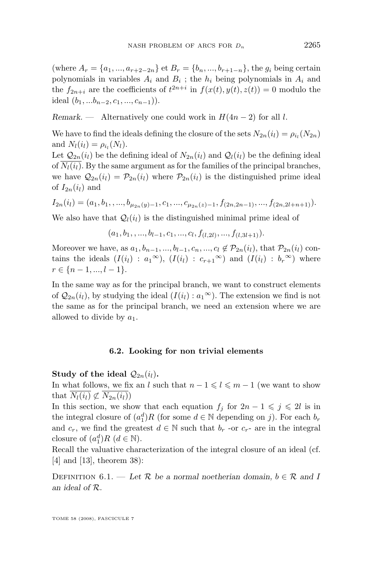(where  $A_r = \{a_1, ..., a_{r+2-2n}\}$  et  $B_r = \{b_n, ..., b_{r+1-n}\}$ , the  $g_i$  being certain polynomials in variables  $A_i$  and  $B_i$ ; the  $h_i$  being polynomials in  $A_i$  and the  $f_{2n+i}$  are the coefficients of  $t^{2n+i}$  in  $f(x(t), y(t), z(t)) = 0$  modulo the ideal  $(b_1, ... b_{n-2}, c_1, ..., c_{n-1})$ ).

*Remark.* — Alternatively one could work in  $H(4n-2)$  for all l.

We have to find the ideals defining the closure of the sets  $N_{2n}(i_l) = \rho_{i_l}(N_{2n})$ and  $N_l(i_l) = \rho_{i_l}(N_l)$ .

Let  $\mathcal{Q}_{2n}(i_l)$  be the defining ideal of  $N_{2n}(i_l)$  and  $\mathcal{Q}_l(i_l)$  be the defining ideal of  $N_l(i_l)$ . By the same argument as for the families of the principal branches, we have  $\mathcal{Q}_{2n}(i_l) = \mathcal{P}_{2n}(i_l)$  where  $\mathcal{P}_{2n}(i_l)$  is the distinguished prime ideal of  $I_{2n}(i_l)$  and

$$
I_{2n}(i_l) = (a_1, b_1, \ldots, b_{\mu_{2n}(y)-1}, c_1, \ldots, c_{\mu_{2n}(z)-1}, f_{(2n, 2n-1)}, \ldots, f_{(2n, 2l+n+1)}).
$$

We also have that  $Q_l(i_l)$  is the distinguished minimal prime ideal of

 $(a_1, b_1, \ldots, b_{l-1}, c_1, \ldots, c_l, f_{(l,2l)}, \ldots, f_{(l,3l+1)}).$ 

Moreover we have, as  $a_1, b_{n-1}, ..., b_{l-1}, c_n, ..., c_l \notin \mathcal{P}_{2n}(i_l)$ , that  $\mathcal{P}_{2n}(i_l)$  contains the ideals  $(I(i_l) : a_1^{\infty}), (I(i_l) : c_{r+1}^{\infty})$  and  $(I(i_l) : b_r^{\infty})$  where  $r \in \{n-1, ..., l-1\}.$ 

In the same way as for the principal branch, we want to construct elements of  $\mathcal{Q}_{2n}(i_l)$ , by studying the ideal  $(I(i_l) : a_1^\infty)$ . The extension we find is not the same as for the principal branch, we need an extension where we are allowed to divide by  $a_1$ .

#### **6.2. Looking for non trivial elements**

**Study of the ideal**  $Q_{2n}(i_l)$ **.** 

In what follows, we fix an l such that  $n - 1 \leq l \leq m - 1$  (we want to show that  $N_l(i_l) \not\subset N_{2n}(i_l)$ 

In this section, we show that each equation  $f_i$  for  $2n - 1 \leq j \leq 2l$  is in the integral closure of  $(a_1^d)R$  (for some  $d \in \mathbb{N}$  depending on j). For each  $b_r$ and  $c_r$ , we find the greatest  $d \in \mathbb{N}$  such that  $b_r$  -or  $c_r$ - are in the integral closure of  $(a_1^d)R$   $(d \in \mathbb{N})$ .

Recall the valuative characterization of the integral closure of an ideal (cf. [\[4\]](#page-29-0) and [\[13\]](#page-29-0), theorem 38):

DEFINITION 6.1. — Let  $\mathcal{R}$  be a normal noetherian domain,  $b \in \mathcal{R}$  and I *an ideal of* R*.*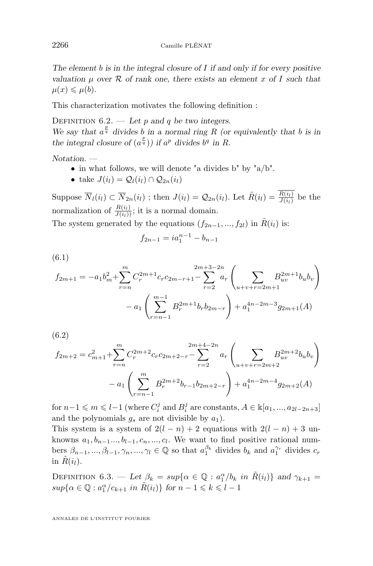*The element* b *is in the integral closure of* I *if and only if for every positive valuation*  $\mu$  *over*  $\mathcal{R}$  *of rank one, there exists an element* x *of* I such that  $\mu(x) \leqslant \mu(b)$ .

This characterization motivates the following definition :

DEFINITION  $6.2$ . — Let p and q be two integers. We say that  $a^{\frac{p}{q}}$  divides b in a normal ring R (or equivalently that b is in the integral closure of  $(a^{\frac{p}{q}})$  if  $a^p$  divides  $b^q$  in R.

*Notation. —*

- in what follows, we will denote "a divides b" by "a/b".
- take  $J(i_l) = Q_l(i_l) \cap Q_{2n}(i_l)$

Suppose  $\overline{N}_l(i_l) \subset \overline{N}_{2n}(i_l)$ ; then  $J(i_l) = \mathcal{Q}_{2n}(i_l)$ . Let  $\tilde{R}(i_l) = \frac{R(i_l)}{J(i_l)}$  be the normalization of  $\frac{R(i_l)}{J(i_l)}$ ; it is a normal domain.

The system generated by the equations  $(f_{2n-1}, ..., f_{2l})$  in  $\tilde{R}(i_l)$  is:

$$
f_{2n-1} = ia_1^{n-1} - b_{n-1}
$$

(6.1)

$$
f_{2m+1} = -a_1 b_m^2 + \sum_{r=n}^m C_r^{2m+1} c_r c_{2m-r+1} - \sum_{r=2}^{2m+3-2n} a_r \left( \sum_{u+v+r=2m+1} B_{uv}^{2m+1} b_u b_v \right)
$$

$$
- a_1 \left( \sum_{r=n-1}^{m-1} B_r^{2m+1} b_r b_{2m-r} \right) + a_1^{4n-2m-3} g_{2m+1}(A)
$$

(6.2)

$$
f_{2m+2} = c_{m+1}^2 + \sum_{r=n}^m C_r^{2m+2} c_r c_{2m+2-r} - \sum_{r=2}^{2m+4-2n} a_r \left( \sum_{u+v+r=2m+2} B_{uv}^{2m+2} b_u b_v \right)
$$

$$
- a_1 \left( \sum_{r=n-1}^m B_r^{2m+2} b_{r-1} b_{2m+2-r} \right) + a_1^{4n-2m-4} g_{2m+2}(A)
$$

for  $n-1 \leqslant m \leqslant l-1$  (where  $C_i^j$  and  $B_i^j$  are constants,  $A \in \mathbb{K}[a_1, ..., a_{2l-2n+3}]$ and the polynomials  $g_s$  are not divisible by  $a_1$ ).

This system is a system of  $2(l - n) + 2$  equations with  $2(l - n) + 3$  unknowns  $a_1, b_{n-1}, \ldots, b_{l-1}, c_n, \ldots, c_l$ . We want to find positive rational numbers  $\beta_{n-1}, ..., \beta_{l-1}, \gamma_n, ..., \gamma_l \in \mathbb{Q}$  so that  $a_1^{\beta_k}$  divides  $b_k$  and  $a_1^{\gamma_r}$  divides  $c_r$ in  $\tilde{R}(i_l)$ .

DEFINITION 6.3. — Let  $\beta_k = \sup \{ \alpha \in \mathbb{Q} : a_1^{\alpha}/b_k \text{ in } \tilde{R}(i_l) \}$  and  $\gamma_{k+1} =$  $sup{\{\alpha \in \mathbb{Q} : a_1^{\alpha}/c_{k+1} \text{ in } \tilde{R}(i_l)\}\text{ for }n-1 \leq k \leq l-1}$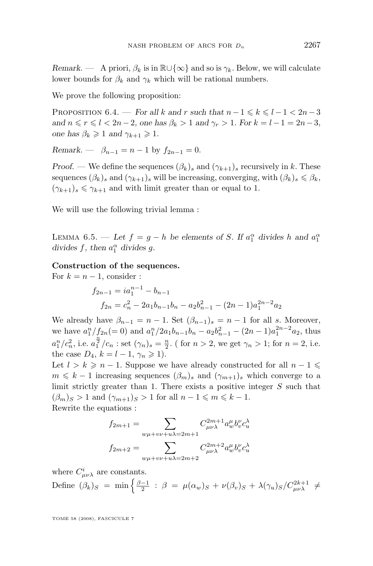*Remark.* — A priori,  $\beta_k$  is in  $\mathbb{R}\cup\{\infty\}$  and so is  $\gamma_k$ . Below, we will calculate lower bounds for  $\beta_k$  and  $\gamma_k$  which will be rational numbers.

We prove the following proposition:

PROPOSITION 6.4. — *For all* k and r *such that*  $n-1 \leq k \leq l-1 < 2n-3$ *and*  $n \le r \le l < 2n-2$ , one has  $\beta_k > 1$  *and*  $\gamma_r > 1$ *. For*  $k = l - 1 = 2n - 3$ , *one has*  $\beta_k \geq 1$  *and*  $\gamma_{k+1} \geq 1$ *.* 

*Remark.* —  $\beta_{n-1} = n-1$  by  $f_{2n-1} = 0$ .

*Proof.* — We define the sequences  $(\beta_k)_s$  and  $(\gamma_{k+1})_s$  recursively in k. These sequences  $(\beta_k)_s$  and  $(\gamma_{k+1})_s$  will be increasing, converging, with  $(\beta_k)_s \leq \beta_k$ ,  $(\gamma_{k+1})_s \leq \gamma_{k+1}$  and with limit greater than or equal to 1.

We will use the following trivial lemma :

LEMMA 6.5. — Let  $f = g - h$  be elements of S. If  $a_1^{\alpha}$  divides h and  $a_1^{\alpha}$ divides  $f$ , then  $a_1^{\alpha}$  divides  $g$ .

#### **Construction of the sequences.**

For  $k = n - 1$ , consider :

$$
f_{2n-1} = ia_1^{n-1} - b_{n-1}
$$
  

$$
f_{2n} = c_n^2 - 2a_1b_{n-1}b_n - a_2b_{n-1}^2 - (2n-1)a_1^{2n-2}a_2
$$

We already have  $\beta_{n-1} = n-1$ . Set  $(\beta_{n-1})_s = n-1$  for all s. Moreover, we have  $a_1^n/f_{2n} (= 0)$  and  $a_1^n/2a_1b_{n-1}b_n - a_2b_{n-1}^2 - (2n-1)a_1^{2n-2}a_2$ , thus  $a_1^n/c_n^2$ , i.e.  $a_1^{\frac{n}{2}}/c_n$ : set  $(\gamma_n)_s = \frac{n}{2}$ . (for  $n > 2$ , we get  $\gamma_n > 1$ ; for  $n = 2$ , i.e. the case  $D_4$ ,  $k = l - 1$ ,  $\gamma_n \geq 1$ .

Let  $l > k \geq n-1$ . Suppose we have already constructed for all  $n-1 \leq$  $m \leq k - 1$  increasing sequences  $(\beta_m)_s$  and  $(\gamma_{m+1})_s$  which converge to a limit strictly greater than 1. There exists a positive integer  $S$  such that  $(\beta_m)_S > 1$  and  $(\gamma_{m+1})_S > 1$  for all  $n-1 \leq m \leq k-1$ . Rewrite the equations :

$$
f_{2m+1} = \sum_{w\mu + v\nu + u\lambda = 2m+1} C_{\mu\nu\lambda}^{2m+1} a_w^{\mu} b_v^{\nu} c_u^{\lambda}
$$
  

$$
f_{2m+2} = \sum_{w\mu + v\nu + u\lambda = 2m+2} C_{\mu\nu\lambda}^{2m+2} a_w^{\mu} b_v^{\nu} c_u^{\lambda}
$$

where  $C^i_{\mu\nu\lambda}$  are constants.

Define 
$$
(\beta_k)_S
$$
 = min  $\left\{ \frac{\beta - 1}{2} : \beta = \mu(\alpha_w)_S + \nu(\beta_v)_S + \lambda(\gamma_u)_S / C_{\mu\nu\lambda}^{2k+1} \neq \right\}$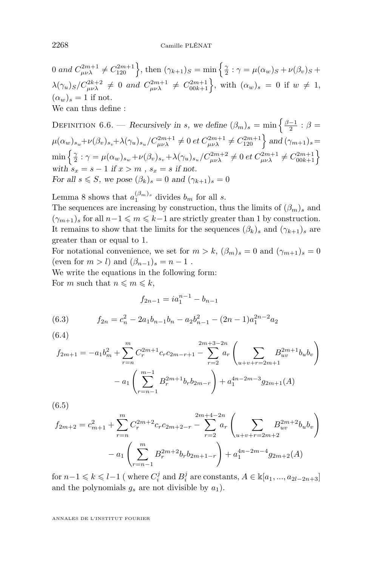<span id="page-20-0"></span>0 and  $C_{\mu\nu\lambda}^{2m+1} \neq C_{120}^{2m+1}$ , then  $(\gamma_{k+1})_S = \min\left\{\frac{\gamma}{2} : \gamma = \mu(\alpha_w)_S + \nu(\beta_v)_S + \cdots\right\}$  $\lambda(\gamma_u)_S/C_{\mu\nu\lambda}^{2k+2} \neq 0$  and  $C_{\mu\nu\lambda}^{2m+1} \neq C_{00k+1}^{2m+1}$ , with  $(\alpha_w)_s = 0$  if  $w \neq 1$ ,  $(\alpha_w)_s = 1$  if not. We can thus define :

DEFINITION 6.6. — *Recursively in s, we define*  $(\beta_m)_s = \min \left\{ \frac{\beta-1}{2} : \beta = \right\}$  $\mu(\alpha_w)_{s_w} + \nu(\beta_v)_{s_v} + \lambda(\gamma_u)_{s_u}/C_{\mu\nu\lambda}^{2m+1} \neq 0$  et  $C_{\mu\nu\lambda}^{2m+1} \neq C_{120}^{2m+1}$  and  $(\gamma_{m+1})_s =$  $\min\left\{ \frac{\gamma}{2} : \gamma = \mu(\alpha_w)_{s_w} + \nu(\beta_v)_{s_v} + \lambda(\gamma_u)_{s_u}/C_{\mu\nu\lambda}^{2m+2} \neq 0 \text{ et } C_{\mu\nu\lambda}^{2m+1} \neq C_{00k+1}^{2m+1} \right\}$ with  $s_x = s - 1$  *if*  $x > m$ ,  $s_x = s$  *if not. For all*  $s \leq S$ *, we pose*  $(\beta_k)_s = 0$  *and*  $(\gamma_{k+1})_s = 0$ 

Lemma 8 shows that  $a_1^{(\beta_m)_s}$  divides  $b_m$  for all s.

The sequences are increasing by construction, thus the limits of  $(\beta_m)_s$  and  $(\gamma_{m+1})_s$  for all  $n-1 \leq m \leq k-1$  are strictly greater than 1 by construction. It remains to show that the limits for the sequences  $(\beta_k)_s$  and  $(\gamma_{k+1})_s$  are greater than or equal to 1.

For notational convenience, we set for  $m > k$ ,  $(\beta_m)_s = 0$  and  $(\gamma_{m+1})_s = 0$ (even for  $m > l$ ) and  $(\beta_{n-1})_s = n - 1$ . We write the equations in the following form:

For m such that  $n \leq m \leq k$ ,

$$
f_{2n-1} = ia_1^{n-1} - b_{n-1}
$$

(6.3) 
$$
f_{2n} = c_n^2 - 2a_1b_{n-1}b_n - a_2b_{n-1}^2 - (2n-1)a_1^{2n-2}a_2
$$

(6.4)

$$
f_{2m+1} = -a_1 b_m^2 + \sum_{r=n}^m C_r^{2m+1} c_r c_{2m-r+1} - \sum_{r=2}^{2m+3-2n} a_r \left( \sum_{u+v+r=2m+1} B_{uv}^{2m+1} b_u b_v \right)
$$

$$
- a_1 \left( \sum_{r=n-1}^{m-1} B_r^{2m+1} b_r b_{2m-r} \right) + a_1^{4n-2m-3} g_{2m+1}(A)
$$

(6.5)

$$
f_{2m+2} = c_{m+1}^2 + \sum_{r=n}^m C_r^{2m+2} c_r c_{2m+2-r} - \sum_{r=2}^{2m+4-2n} a_r \left( \sum_{u+v+r=2m+2} B_{uv}^{2m+2} b_u b_v \right)
$$

$$
- a_1 \left( \sum_{r=n-1}^m B_r^{2m+2} b_r b_{2m+1-r} \right) + a_1^{4n-2m-4} g_{2m+2}(A)
$$

for  $n-1 \leqslant k \leqslant l-1$  (where  $C_i^j$  and  $B_i^j$  are constants,  $A \in \mathbb{K}[a_1, ..., a_{2l-2n+3}]$ and the polynomials  $g_s$  are not divisible by  $a_1$ ).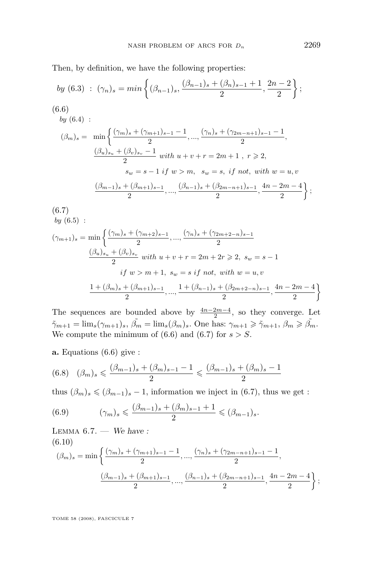<span id="page-21-0"></span>Then, by definition, we have the following properties:

by (6.3) : 
$$
(\gamma_n)_s = min \left\{ (\beta_{n-1})_s, \frac{(\beta_{n-1})_s + (\beta_n)_{s-1} + 1}{2}, \frac{2n-2}{2} \right\};
$$
  
\n(6.6)  
\nby (6.4) :  
\n $(\beta_m)_s = min \left\{ \frac{(\gamma_m)_s + (\gamma_{m+1})_{s-1} - 1}{2}, ..., \frac{(\gamma_n)_s + (\gamma_{2m-n+1})_{s-1} - 1}{2}, \frac{(\beta_u)_{s_u} + (\beta_v)_{s_v} - 1}{2} \text{ with } u + v + r = 2m + 1, r \ge 2, \text{ } s_w = s - 1 \text{ if } w > m, s_w = s, \text{ if not, with } w = u, v \right\}$   
\n $\frac{(\beta_{m-1})_s + (\beta_{m+1})_{s-1}}{2}, ..., \frac{(\beta_{n-1})_s + (\beta_{2m-n+1})_{s-1}}{2}, \frac{4n - 2m - 4}{2} \right\};$   
\n(6.7)

$$
(\gamma_{m+1})_s = \min\left\{\frac{(\gamma_m)_s + (\gamma_{m+2})_{s-1}}{2}, \dots, \frac{(\gamma_n)_s + (\gamma_{2m+2-n})_{s-1}}{2} \right\}
$$

$$
\frac{(\beta_u)_{s_u} + (\beta_v)_{s_v}}{2} \text{ with } u + v + r = 2m + 2r \ge 2, \ s_w = s - 1
$$

$$
\text{if } w > m + 1, \ s_w = s \text{ if not, with } w = u, v
$$

$$
\frac{1 + (\beta_m)_s + (\beta_{m+1})_{s-1}}{2}, \dots, \frac{1 + (\beta_{n-1})_s + (\beta_{2m+2-n})_{s-1}}{2}, \frac{4n - 2m - 4}{2}\right\}
$$

The sequences are bounded above by  $\frac{4n-2m-4}{2}$ , so they converge. Let  $\tilde{\gamma}_{m+1} = \lim_s(\gamma_{m+1})_s, \ \tilde{\beta_m} = \lim_s(\beta_m)_s.$  One has:  $\gamma_{m+1} \geq \tilde{\gamma}_{m+1}, \ \beta_m \geq \tilde{\beta_m}.$ We compute the minimum of  $(6.6)$  and  $(6.7)$  for  $s > S$ .

**a.** Equations (6.6) give :

 $bu(6.5)$  $bu(6.5)$ :

$$
(6.8) \quad (\beta_m)_s \leqslant \frac{(\beta_{m-1})_s + (\beta_m)_{s-1} - 1}{2} \leqslant \frac{(\beta_{m-1})_s + (\beta_m)_{s-1}}{2}
$$

thus  $(\beta_m)_s \leq (\beta_{m-1})_s - 1$ , information we inject in (6.7), thus we get :

(6.9) 
$$
(\gamma_m)_s \leq \frac{(\beta_{m-1})_s + (\beta_m)_{s-1} + 1}{2} \leq (\beta_{m-1})_s.
$$

Lemma 6.7. — *We have :* (6.10)  $(\beta_m)_s = \min \left\{ \frac{(\gamma_m)_s + (\gamma_{m+1})_{s-1} - 1}{2} \right\}$  $\frac{(m+1)s-1-1}{2}, \ldots, \frac{(\gamma_n)s+(\gamma_{2m-n+1})_{s-1}-1}{2}$  $\frac{2}{2}$ ,  $(\beta_{m-1})_s + (\beta_{m+1})_{s-1}$  $\frac{( \beta_{m+1})_{s-1}}{2},...,\frac{( \beta_{n-1})_{s}+(\beta_{2m-n+1})_{s-1}}{2}$  $\frac{\beta_{2m-n+1}}{2}, \frac{4n-2m-4}{2}$ 2  $\}$ ;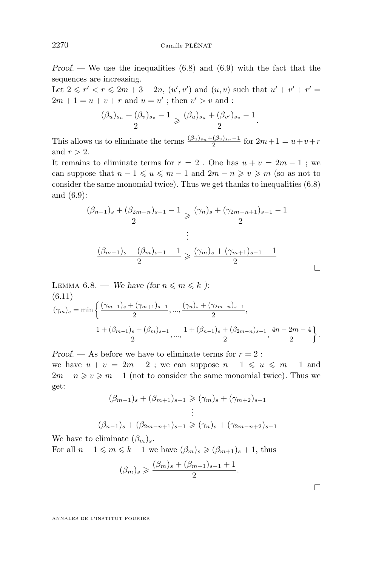*Proof.* — We use the inequalities [\(6.8\)](#page-21-0) and [\(6.9\)](#page-21-0) with the fact that the sequences are increasing.

Let  $2 \le r' < r \le 2m + 3 - 2n$ ,  $(u', v')$  and  $(u, v)$  such that  $u' + v' + r' =$  $2m + 1 = u + v + r$  and  $u = u'$ ; then  $v' > v$  and :

$$
\frac{(\beta_u)_{s_u} + (\beta_v)_{s_v} - 1}{2} \geqslant \frac{(\beta_u)_{s_u} + (\beta_{v'})_{s_v} - 1}{2}.
$$

This allows us to eliminate the terms  $\frac{(\beta_u)_{s_u} + (\beta_v)_{s_v} - 1}{2}$  for  $2m + 1 = u + v + r$ and  $r > 2$ .

It remains to eliminate terms for  $r = 2$ . One has  $u + v = 2m - 1$ ; we can suppose that  $n - 1 \leq u \leq m - 1$  and  $2m - n \geq v \geq m$  (so as not to consider the same monomial twice). Thus we get thanks to inequalities [\(6.8\)](#page-21-0) and [\(6.9\)](#page-21-0):

$$
\frac{(\beta_{n-1})_s + (\beta_{2m-n})_{s-1} - 1}{2} \ge \frac{(\gamma_n)_s + (\gamma_{2m-n+1})_{s-1} - 1}{2}
$$
  

$$
\vdots
$$
  

$$
\frac{(\beta_{m-1})_s + (\beta_m)_{s-1} - 1}{2} \ge \frac{(\gamma_m)_s + (\gamma_{m+1})_{s-1} - 1}{2}
$$

LEMMA 6.8. — We have (for 
$$
n \le m \le k
$$
 ):  
\n(6.11)  
\n
$$
(\gamma_m)_s = \min \left\{ \frac{(\gamma_{m-1})_s + (\gamma_{m+1})_{s-1}}{2}, \dots, \frac{(\gamma_n)_s + (\gamma_{2m-n})_{s-1}}{2}, \frac{1 + (\beta_{m-1})_s + (\beta_{m-1})_s + (\beta_{2m-n})_{s-1}}{2}, \frac{4n - 2m - 4}{2} \right\}.
$$

*Proof.* — As before we have to eliminate terms for  $r = 2$ : we have  $u + v = 2m - 2$ ; we can suppose  $n - 1 \leq u \leq m - 1$  and  $2m - n \ge v \ge m - 1$  (not to consider the same monomial twice). Thus we get:

$$
(\beta_{m-1})_s + (\beta_{m+1})_{s-1} \ge (\gamma_m)_s + (\gamma_{m+2})_{s-1}
$$
  
 
$$
\vdots
$$
  
 
$$
(\beta_{n-1})_s + (\beta_{2m-n+1})_{s-1} \ge (\gamma_n)_s + (\gamma_{2m-n+2})_{s-1}
$$

We have to eliminate  $(\beta_m)_s$ . For all  $n-1 \leq m \leq k-1$  we have  $(\beta_m)_s \geq (\beta_{m+1})_s + 1$ , thus

$$
(\beta_m)_s \geqslant \frac{(\beta_m)_s + (\beta_{m+1})_{s-1} + 1}{2}.
$$

 $\Box$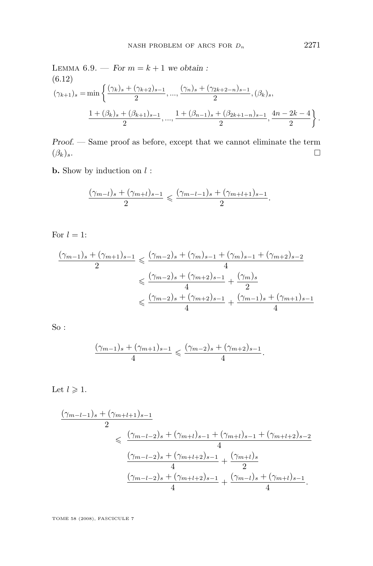LEMMA 6.9. — For 
$$
m = k + 1
$$
 we obtain :  
\n(6.12)  
\n
$$
(\gamma_{k+1})_s = \min \left\{ \frac{(\gamma_k)_s + (\gamma_{k+2})_{s-1}}{2}, \dots, \frac{(\gamma_n)_s + (\gamma_{2k+2-n})_{s-1}}{2}, (\beta_k)_s, \frac{1 + (\beta_k)_s + (\beta_{k+1})_{s-1}}{2}, \dots, \frac{1 + (\beta_{n-1})_s + (\beta_{2k+1-n})_{s-1}}{2}, \frac{4n - 2k - 4}{2} \right\}.
$$

*Proof. —* Same proof as before, except that we cannot eliminate the term  $(\beta_k)_s$ .

**b.** Show by induction on  $l$  :

$$
\frac{(\gamma_{m-l})_s + (\gamma_{m+l})_{s-1}}{2} \leq \frac{(\gamma_{m-l-1})_s + (\gamma_{m+l+1})_{s-1}}{2}.
$$

For  $l = 1$ :

$$
\frac{(\gamma_{m-1})_s + (\gamma_{m+1})_{s-1}}{2} \leq \frac{(\gamma_{m-2})_s + (\gamma_m)_{s-1} + (\gamma_m)_{s-1} + (\gamma_{m+2})_{s-2}}{4}
$$

$$
\leq \frac{(\gamma_{m-2})_s + (\gamma_{m+2})_{s-1}}{4} + \frac{(\gamma_m)_{s}}{2}
$$

$$
\leq \frac{(\gamma_{m-2})_s + (\gamma_{m+2})_{s-1}}{4} + \frac{(\gamma_{m-1})_s + (\gamma_{m+1})_{s-1}}{4}
$$

So :

$$
\frac{(\gamma_{m-1})_s + (\gamma_{m+1})_{s-1}}{4} \leqslant \frac{(\gamma_{m-2})_s + (\gamma_{m+2})_{s-1}}{4}.
$$

Let  $l \geqslant 1$ .

$$
\frac{(\gamma_{m-l-1})_s + (\gamma_{m+l+1})_{s-1}}{2}
$$
\n
$$
\leq \frac{(\gamma_{m-l-2})_s + (\gamma_{m+l})_{s-1} + (\gamma_{m+l})_{s-1} + (\gamma_{m+l+2})_{s-2}}{4}
$$
\n
$$
\frac{(\gamma_{m-l-2})_s + (\gamma_{m+l+2})_{s-1}}{4} + \frac{(\gamma_{m+l})_s}{2}
$$
\n
$$
\frac{(\gamma_{m-l-2})_s + (\gamma_{m+l+2})_{s-1}}{4} + \frac{(\gamma_{m-l})_s + (\gamma_{m+l})_{s-1}}{4}.
$$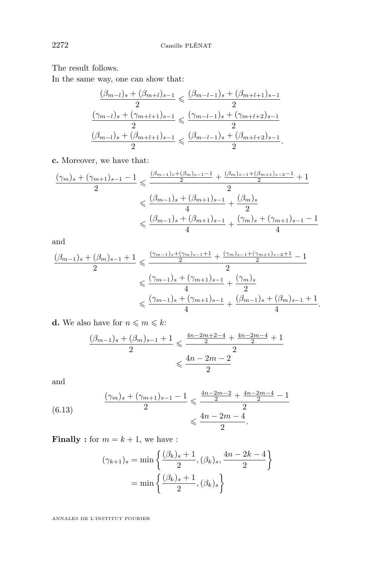The result follows.

In the same way, one can show that:

$$
\frac{(\beta_{m-l})_s + (\beta_{m+l})_{s-1}}{2} \leqslant \frac{(\beta_{m-l-1})_s + (\beta_{m+l+1})_{s-1}}{2}
$$

$$
\frac{(\gamma_{m-l})_s + (\gamma_{m+l+1})_{s-1}}{2} \leqslant \frac{(\gamma_{m-l-1})_s + (\gamma_{m+l+2})_{s-1}}{2}
$$

$$
\frac{(\beta_{m-l})_s + (\beta_{m+l+1})_{s-1}}{2} \leqslant \frac{(\beta_{m-l-1})_s + (\beta_{m+l+2})_{s-1}}{2}.
$$

**c.** Moreover, we have that:

$$
\frac{(\gamma_m)_s + (\gamma_{m+1})_{s-1} - 1}{2} \leqslant \frac{\frac{(\beta_{m-1})_s + (\beta_m)_{s-1} - 1}{2} + \frac{(\beta_m)_{s-1} + (\beta_{m+1})_{s-2} - 1}{2} + 1}{2}
$$
  

$$
\leqslant \frac{(\beta_{m-1})_s + (\beta_{m+1})_{s-1}}{4} + \frac{(\beta_m)_s}{2}
$$
  

$$
\leqslant \frac{(\beta_{m-1})_s + (\beta_{m+1})_{s-1}}{4} + \frac{(\gamma_m)_s + (\gamma_{m+1})_{s-1} - 1}{4}
$$

and

$$
\frac{(\beta_{m-1})_s + (\beta_m)_{s-1} + 1}{2} \leqslant \frac{\frac{(\gamma_{m-1})_s + (\gamma_m)_{s-1} + 1}{2} + \frac{(\gamma_m)_{s-1} + (\gamma_{m+1})_{s-2} + 1}{2} - 1}{2}
$$
  

$$
\leqslant \frac{(\gamma_{m-1})_s + (\gamma_{m+1})_{s-1}}{4} + \frac{(\gamma_m)_{s}}{2}
$$
  

$$
\leqslant \frac{(\gamma_{m-1})_s + (\gamma_{m+1})_{s-1}}{4} + \frac{(\beta_{m-1})_s + (\beta_m)_{s-1} + 1}{4}.
$$

**d.** We also have for  $n \leq m \leq k$ :

$$
\frac{(\beta_{m-1})_s + (\beta_m)_{s-1} + 1}{2} \leq \frac{\frac{4n - 2m + 2 - 4}{2} + \frac{4n - 2m - 4}{2} + 1}{2}
$$

$$
\leq \frac{4n - 2m - 2}{2}
$$

and

(6.13) 
$$
\frac{(\gamma_m)_s + (\gamma_{m+1})_{s-1} - 1}{2} \leq \frac{\frac{4n - 2m - 2}{2} + \frac{4n - 2m - 4}{2} - 1}{2} \leq \frac{4n - 2m - 4}{2}.
$$

**Finally :** for  $m = k + 1$ , we have :

$$
(\gamma_{k+1})_s = \min\left\{\frac{(\beta_k)_s + 1}{2}, (\beta_k)_s, \frac{4n - 2k - 4}{2}\right\}
$$

$$
= \min\left\{\frac{(\beta_k)_s + 1}{2}, (\beta_k)_s\right\}
$$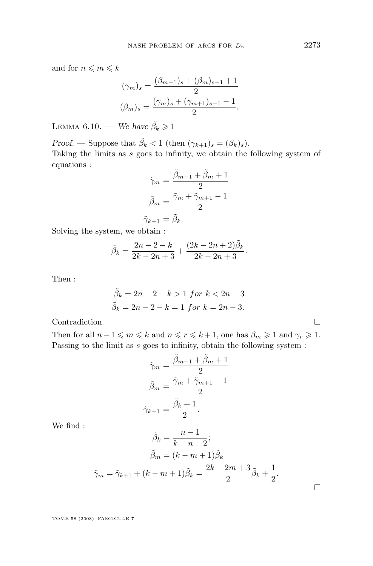and for  $n\leqslant m\leqslant k$ 

$$
(\gamma_m)_s = \frac{(\beta_{m-1})_s + (\beta_m)_{s-1} + 1}{2}
$$

$$
(\beta_m)_s = \frac{(\gamma_m)_s + (\gamma_{m+1})_{s-1} - 1}{2}.
$$

LEMMA 6.10. — *We have*  $\tilde{\beta}_k \geq 1$ 

*Proof.* — Suppose that  $\tilde{\beta}_k < 1$  (then  $(\gamma_{k+1})_s = (\beta_k)_s$ ). Taking the limits as s goes to infinity, we obtain the following system of equations :

$$
\tilde{\gamma}_m = \frac{\tilde{\beta}_{m-1} + \tilde{\beta}_m + 1}{2}
$$

$$
\tilde{\beta}_m = \frac{\tilde{\gamma}_m + \tilde{\gamma}_{m+1} - 1}{2}
$$

$$
\tilde{\gamma}_{k+1} = \tilde{\beta}_k.
$$

Solving the system, we obtain :

$$
\tilde{\beta}_k = \frac{2n-2-k}{2k-2n+3} + \frac{(2k-2n+2)\tilde{\beta}_k}{2k-2n+3}.
$$

Then :

$$
\tilde{\beta}_k = 2n - 2 - k > 1 \text{ for } k < 2n - 3
$$
\n
$$
\tilde{\beta}_k = 2n - 2 - k = 1 \text{ for } k = 2n - 3.
$$

Contradiction.

Then for all  $n-1 \leq m \leq k$  and  $n \leq r \leq k+1$ , one has  $\beta_m \geq 1$  and  $\gamma_r \geq 1$ . Passing to the limit as  $s$  goes to infinity, obtain the following system :

$$
\tilde{\gamma}_m = \frac{\tilde{\beta}_{m-1} + \tilde{\beta}_m + 1}{2}
$$

$$
\tilde{\beta}_m = \frac{\tilde{\gamma}_m + \tilde{\gamma}_{m+1} - 1}{2}
$$

$$
\tilde{\gamma}_{k+1} = \frac{\tilde{\beta}_k + 1}{2}.
$$

We find :

$$
\tilde{\beta}_k = \frac{n-1}{k-n+2};
$$

$$
\tilde{\beta}_m = (k-m+1)\tilde{\beta}_k
$$

$$
\tilde{\gamma}_m = \tilde{\gamma}_{k+1} + (k-m+1)\tilde{\beta}_k = \frac{2k-2m+3}{2}\tilde{\beta}_k + \frac{1}{2}.
$$

TOME 58 (2008), FASCICULE 7

 $\Box$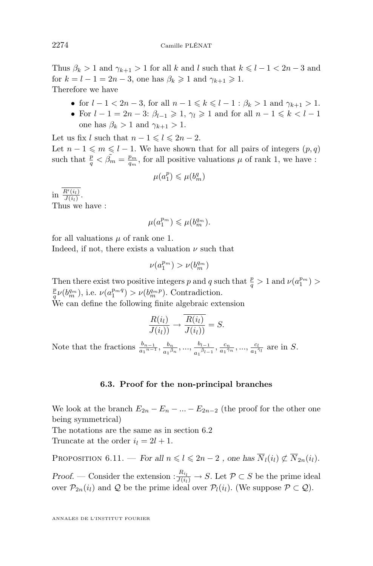Thus  $\beta_k > 1$  and  $\gamma_{k+1} > 1$  for all k and l such that  $k \leq l-1 < 2n-3$  and for  $k = l - 1 = 2n - 3$ , one has  $\beta_k \geq 1$  and  $\gamma_{k+1} \geq 1$ . Therefore we have

- for  $l 1 < 2n 3$ , for all  $n 1 \leq k \leq l 1$ :  $\beta_k > 1$  and  $\gamma_{k+1} > 1$ .
- For  $l-1=2n-3$ :  $\beta_{l-1}\geqslant 1$ ,  $\gamma_l\geqslant 1$  and for all  $n-1\leqslant k\leqslant l-1$ one has  $\beta_k > 1$  and  $\gamma_{k+1} > 1$ .

Let us fix l such that  $n - 1 \leq l \leq 2n - 2$ . Let  $n - 1 \leq m \leq l - 1$ . We have shown that for all pairs of integers  $(p, q)$ such that  $\frac{p}{q} < \tilde{\beta_m} = \frac{p_m}{q_m}$ , for all positive valuations  $\mu$  of rank 1, we have :

$$
\mu(a_1^p) \leqslant \mu(b_m^q)
$$

in  $\frac{R'(i_l)}{J(i_l)}$ . Thus we have :

$$
\mu(a_1^{p_m})\leqslant\mu(b_m^{q_m}).
$$

for all valuations  $\mu$  of rank one 1.

Indeed, if not, there exists a valuation  $\nu$  such that

$$
\nu(a_1^{p_m}) > \nu(b_m^{q_m})
$$

Then there exist two positive integers p and q such that  $\frac{p}{q} > 1$  and  $\nu(a_1^{p_m}) >$  $\frac{p}{q}\nu(b_m^{q_m})$ , i.e.  $\nu(a_1^{p_m q}) > \nu(b_m^{q_m p})$ . Contradiction.

We can define the following finite algebraic extension

$$
\frac{R(i_l)}{J(i_l))} \to \frac{R(i_l)}{J(i_l))} = S.
$$

Note that the fractions  $\frac{b_{n-1}}{a_1^{n-1}}, \frac{b_n}{a_1 \beta}$  $\frac{b_n}{a_1 {\tilde{\beta}}_n}, ..., \frac{b_{l-1}}{a_1 {\tilde{\beta}}_{l-1}}$  $\frac{b_{l-1}}{a_1\tilde{\beta}_{l-1}}, \frac{c_n}{a_1\tilde{\gamma}_n}, ..., \frac{c_l}{a_1\tilde{\gamma}_l}$  $rac{c_l}{a_1 \tilde{\gamma}_l}$  are in S.

#### **6.3. Proof for the non-principal branches**

We look at the branch  $E_{2n} - E_n - \ldots - E_{2n-2}$  (the proof for the other one being symmetrical)

The notations are the same as in section 6.2 Truncate at the order  $i_l = 2l + 1$ .

PROPOSITION 6.11. — *For all*  $n \leq l \leq 2n-2$ , one has  $\overline{N}_l(i_l) \not\subset \overline{N}_{2n}(i_l)$ .

*Proof.* — Consider the extension  $: \frac{R_{i_l}}{J(i_l)} \to S$ . Let  $P \subset S$  be the prime ideal over  $\mathcal{P}_{2n}(i_l)$  and  $\mathcal Q$  be the prime ideal over  $\mathcal P_l(i_l)$ . (We suppose  $\mathcal P \subset \mathcal Q$ ).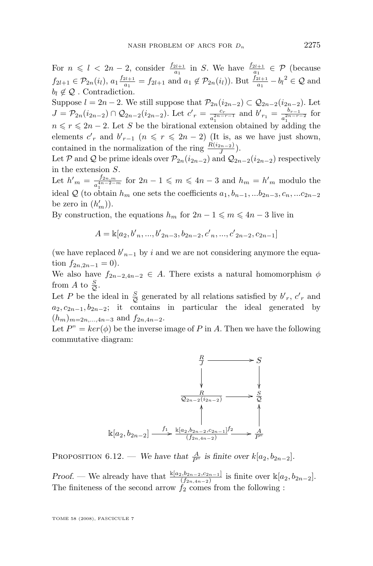For  $n \leq l \leq 2n-2$ , consider  $\frac{f_{2l+1}}{a_1}$  in S. We have  $\frac{f_{2l+1}}{a_1} \in \mathcal{P}$  (because  $f_{2l+1} \in \mathcal{P}_{2n}(i_l), a_1 \frac{f_{2l+1}}{a_1}$  $a_1 \n\in f_{2l+1}$  and  $a_1 \notin \mathcal{P}_{2n}(i_l)$ ). But  $\frac{f_{2l+1}}{a_1} - b_l^2 \in \mathcal{Q}$  and  $b_1 \notin \mathcal{Q}$ . Contradiction.

Suppose  $l = 2n - 2$ . We still suppose that  $\mathcal{P}_{2n}(i_{2n-2}) \subset \mathcal{Q}_{2n-2}(i_{2n-2})$ . Let  $J = \mathcal{P}_{2n}(i_{2n-2}) \cap \mathcal{Q}_{2n-2}(i_{2n-2})$ . Let  $c'_r = \frac{c_r}{a^{2n-2}}$  $\frac{c_r}{a_1^{2n-r-1}}$  and  $b'_{r_1} = \frac{b_{r-1}}{a_1^{2n-r-1}}$  $n \leqslant r \leqslant 2n-2$ . Let S be the birational extension obtained by adding the  $\frac{b_{r-1}}{a_1^{2n-r-2}}$  for elements  $c'$ <sub>r</sub> and  $b'$ <sub>r-1</sub>  $(n \leq r \leq 2n-2)$  (It is, as we have just shown, contained in the normalization of the ring  $\frac{R(i_{2n-2})}{J}$ .

Let P and Q be prime ideals over  $\mathcal{P}_{2n}(i_{2n-2})$  and  $\mathcal{Q}_{2n-2}(i_{2n-2})$  respectively in the extension S.

Let  $h'_{m} = \frac{f_{2n,m}}{a^{4n-2}}$  $\frac{f_{2n,m}}{a_1^{4n-2-m}}$  for  $2n-1 \leqslant m \leqslant 4n-3$  and  $h_m = h'_m$  modulo the ideal Q (to obtain  $h_m$  one sets the coefficients  $a_1, b_{n-1},...b_{2n-3}, c_n,...c_{2n-2}$ be zero in  $(h'_m)$ ).

By construction, the equations  $h_m$  for  $2n - 1 \leq m \leq 4n - 3$  live in

$$
A = \mathbb{k}[a_2, b'_n, ..., b'_{2n-3}, b_{2n-2}, c'_n, ..., c'_{2n-2}, c_{2n-1}]
$$

(we have replaced  $b'_{n-1}$  by i and we are not considering anymore the equation  $f_{2n,2n-1} = 0$ ).

We also have  $f_{2n-2,4n-2} \in A$ . There exists a natural homomorphism  $\phi$ from A to  $\frac{S}{Q}$ .

Let P be the ideal in  $\frac{S}{Q}$  generated by all relations satisfied by  $b'_{r}$ ,  $c'_{r}$  and  $a_2, c_{2n-1}, b_{2n-2}$ ; it contains in particular the ideal generated by  $(h_m)_{m=2n,\ldots,4n-3}$  and  $f_{2n,4n-2}$ .

Let  $P'' = \ker(\phi)$  be the inverse image of P in A. Then we have the following commutative diagram:



PROPOSITION 6.12. — *We have that*  $\frac{A}{P^n}$  is finite over  $k[a_2, b_{2n-2}]$ .

*Proof.* — We already have that  $\frac{\mathbb{k}[a_2, b_{2n-2}, c_{2n-1}]}{(f_{2n,4n-2})}$  is finite over  $\mathbb{k}[a_2, b_{2n-2}]$ . The finiteness of the second arrow  $f_2$  comes from the following :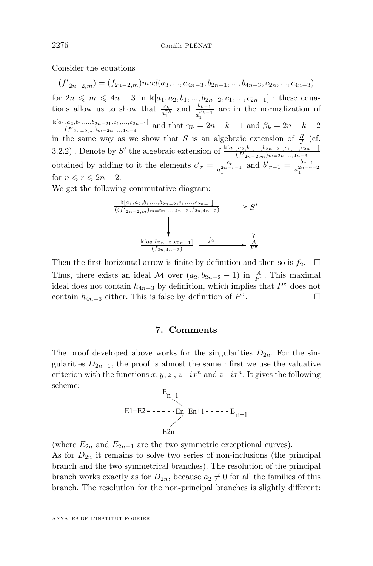Consider the equations

 $(f'_{2n-2,m}) = (f_{2n-2,m}) mod(a_3, ..., a_{4n-3}, b_{2n-1}, ..., b_{4n-3}, c_{2n}, ..., c_{4n-3})$ for  $2n \leq m \leq 4n-3$  in  $\mathbb{K}[a_1, a_2, b_1, ..., b_{2n-2}, c_1, ..., c_{2n-1}]$ ; these equations allow us to show that  $\frac{c_k}{a_1^{\gamma_k}}$  and  $\frac{b_{k-1}}{a_1^{\beta_{k-1}}}$  are in the normalization of  $\frac{k[a_1,a_2,b_1,...,b_{2n-21},c_1,...,c_{2n-1}]}{(f'_{2n-2,m})_{m=2n,...,4n-3}}$  and that  $\gamma_k = 2n - k - 1$  and  $\beta_k = 2n - k - 2$ in the same way as we show that S is an algebraic extension of  $\frac{R}{I}$  (cf. J 3.2.2). Denote by S' the algebraic extension of  $\frac{k[a_1, a_2, b_1, ..., b_{2n-21}, c_1, ..., c_{2n-1}]}{(f'_{2n-2,m})_{m=2n,...,4n-3}}$ obtained by adding to it the elements  $c'_{r} = \frac{c_r}{a^{2n-r}}$  $\frac{c_r}{a_1^{2n-r-1}}$  and  $b'_{r-1} = \frac{b_{r-1}}{a_1^{2n-r-1}}$  $a_1^{2n-r-2}$ for  $n \leq r \leq 2n - 2$ .

We get the following commutative diagram:



Then the first horizontal arrow is finite by definition and then so is  $f_2$ .  $\Box$ Thus, there exists an ideal M over  $(a_2, b_{2n-2} - 1)$  in  $\frac{A}{P^n}$ . This maximal ideal does not contain  $h_{4n-3}$  by definition, which implies that P" does not contain  $h_{4n-3}$  either. This is false by definition of  $P$ ".

#### **7. Comments**

The proof developed above works for the singularities  $D_{2n}$ . For the singularities  $D_{2n+1}$ , the proof is almost the same: first we use the valuative criterion with the functions x, y, z,  $z+ix^n$  and  $z-ix^n$ . It gives the following scheme:

$$
E_{n+1}
$$
  
E1-E2=- - - - - En-En+1- - - - E<sub>n-1</sub>  
E2n

(where  $E_{2n}$  and  $E_{2n+1}$  are the two symmetric exceptional curves). As for  $D_{2n}$  it remains to solve two series of non-inclusions (the principal branch and the two symmetrical branches). The resolution of the principal branch works exactly as for  $D_{2n}$ , because  $a_2 \neq 0$  for all the families of this branch. The resolution for the non-principal branches is slightly different: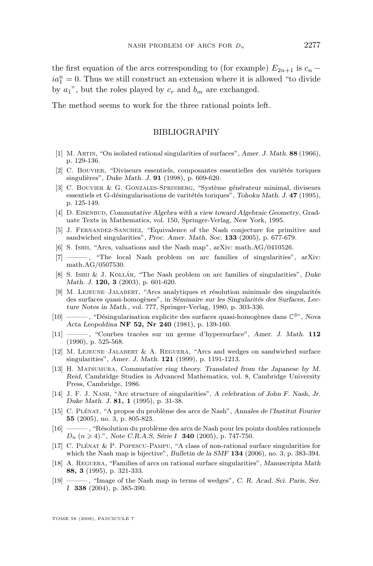<span id="page-29-0"></span>the first equation of the arcs corresponding to (for example)  $E_{2n+1}$  is  $c_n$  −  $ia_1^n = 0$ . Thus we still construct an extension where it is allowed "to divide by  $a_1$ ", but the roles played by  $c_r$  and  $b_m$  are exchanged.

The method seems to work for the three rational points left.

#### BIBLIOGRAPHY

- [1] M. Artin, "On isolated rational singularities of surfaces", *Amer. J. Math.* **88** (1966), p. 129-136.
- [2] C. Bouvier, "Diviseurs essentiels, composantes essentielles des variétés toriques singulières", *Duke Math. J.* **91** (1998), p. 609-620.
- [3] C. Bouvier & G. Gonzales-Sprinberg, "Système générateur minimal, diviseurs essentiels et G-désingularisations de varitétés toriques", *Tohoku Math. J.* **47** (1995), p. 125-149.
- [4] D. Eisenbud, *Commutative Algebra with a view toward Algebraic Geometry*, Graduate Texts in Mathematics, vol. 150, Springer-Verlag, New York, 1995.
- [5] J. Fernandez-Sanchez, "Equivalence of the Nash conjecture for primitive and sandwiched singularities", *Proc. Amer. Math. Soc.* **133** (2005), p. 677-679.
- [6] S. Ishii, "Arcs, valuations and the Nash map", arXiv: math.AG/0410526.
- [7] ———, "The local Nash problem on arc families of singularities", arXiv: math.AG/0507530.
- [8] S. Ishii & J. Kollár, "The Nash problem on arc families of singularities", *Duke Math. J.* **120, 3** (2003), p. 601-620.
- [9] M. Lejeune–Jalabert, "Arcs analytiques et résolution minimale des singularités des surfaces quasi-homogènes", in *Séminaire sur les Singularités des Surfaces, Lecture Notes in Math.*, vol. 777, Springer-Verlag, 1980, p. 303-336.
- [10] ——— , "Désingularisation explicite des surfaces quasi-homogènes dans C3", *Nova Acta Leopoldina* **NF 52, Nr 240** (1981), p. 139-160.
- [11] ——— , "Courbes tracées sur un germe d'hypersurface", *Amer. J. Math.* **112** (1990), p. 525-568.
- [12] M. Lejeune–Jalabert & A. Reguera, "Arcs and wedges on sandwiched surface singularities", *Amer. J. Math.* **121** (1999), p. 1191-1213.
- [13] H. Matsumura, *Commutative ring theory. Translated from the Japanese by M. Reid*, Cambridge Studies in Advanced Mathematics, vol. 8, Cambridge University Press, Cambridge, 1986.
- [14] J. F. J. Nash, "Arc structure of singularities", *A celebration of John F. Nash, Jr. Duke Math. J.* **81, 1** (1995), p. 31-38.
- [15] C. Plénat, "A propos du problème des arcs de Nash", *Annales de l'Institut Fourier* **55** (2005), no. 3, p. 805-823.
- [16] ——— , "Résolution du problème des arcs de Nash pour les points doubles rationnels  $D_n$  ( $n \geq 4$ ).", *Note C.R.A.S, Série I* **340** (2005), p. 747-750.
- [17] C. Plénat & P. Popescu-Pampu, "A class of non-rational surface singularities for which the Nash map is bijective", *Bulletin de la SMF* **134** (2006), no. 3, p. 383-394.
- [18] A. Reguera, "Families of arcs on rational surface singularities", *Manuscripta Math* **88, 3** (1995), p. 321-333.
- [19] ——— , "Image of the Nash map in terms of wedges", *C. R. Acad. Sci. Paris, Ser. I* **338** (2004), p. 385-390.